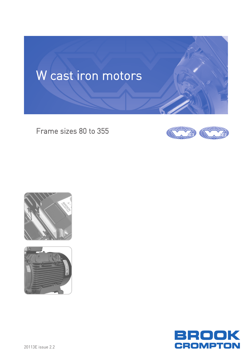

Frame sizes 80 to 355







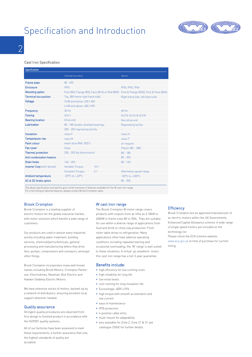### Specification and Introduction



 $\overline{\mathcal{C}}$ 

#### Cast Iron Specification

| Specification                      |                                                 |      |                                        |
|------------------------------------|-------------------------------------------------|------|----------------------------------------|
|                                    | Standard product                                |      | Option                                 |
| Frame sizes                        | $80 - 355$                                      |      |                                        |
| <b>Enclosure</b>                   | <b>IP55</b>                                     |      | IP56, IP65, IP66                       |
| <b>Mounting option</b>             | Foot (B3), Flange (B5), Face (B14) or Pad (B30) |      | Foot & Flange (B35), Foot & Face (B34) |
| <b>Terminal box position</b>       | Top, [80 frame right hand side]                 |      | Right hand side, left hand side        |
| Voltage                            | 3 kW and below: 230 / 400                       |      |                                        |
|                                    | 4 kW and above: 400 / 690                       |      |                                        |
| Frequency                          | $50$ Hz                                         |      | $60$ Hz                                |
| Cooling                            | <b>IC411</b>                                    |      | IC410, IC416 & IC418                   |
| <b>Bearing location</b>            | Drive end                                       |      | Non drive end                          |
| Lubrication                        | 80 - 180 double-shielded bearings               |      | Regreasing facility                    |
|                                    | 200 - 355 regreasing facility                   |      |                                        |
| Insulation                         | class F                                         |      | class H                                |
| Temperature rise                   | class B                                         |      | class F                                |
| Paint colour                       | water blue (RAL 5021)                           |      | on request                             |
| Fan cover                          | Steel                                           |      | Plastic (80 - 180)                     |
| <b>Thermal protection</b>          | 200 - 355 (by thermistors)                      |      | $80 - 180$                             |
| Anti condensation heaters          |                                                 |      | $80 - 355$                             |
| <b>Drain holes</b>                 | $160 - 355$                                     |      | $80 - 132$                             |
| <b>Inverter Duty</b> (with derate) | Variable Torque:                                | 10:1 |                                        |
|                                    | <b>Constant Torque:</b>                         | 2:1  | Alternative speed range                |
| <b>Ambient temperature</b>         | $-20^{\circ}$ C to + 40 $^{\circ}$ C            |      | $-50^{\circ}$ C to $+100^{\circ}$ C    |
| AC & DC brake option               |                                                 |      | $80 - 355$                             |

The above specification and options give a brief summary of features available for the W cast iron range. For a full listing of optional features, please contact Brook Crompton sales.

#### Brook Crompton

Brook Crompton is a leading supplier of electric motors for the global industrial market, with motor solutions which benefit a wide range of customers.

Our products are used in almost every industrial activity including water treatment, building services, chemical/petrochemicals, general processing and manufacturing where they drive fans, pumps, compressors and conveyors, amongst other things.

Brook Crompton incorporates many well known names including Brook Motors, Crompton Parkinson, Electrodrives, Newman, Bull Electric and Hawker Siddeley Electric Motors.

We have extensive stocks of motors, backed-up by a network of distributors, ensuring excellent local support wherever needed.

#### Quality assurance

Stringent quality procedures are observed from first design to finished product in accordance with the ISO9001 quality systems.

All of our factories have been assessed to meet these requirements, a further assurance that only the highest standards of quality are accepted.

#### W cast iron range

The Brook Crompton W motor range covers products with outputs from as little as 0.18kW to 400kW in frame sizes 80 to 355L. They are suitable for use within a diverse range of applications from food and drink to china clay production. From roller table drives to refrigeration. Many applications often have adverse operating conditions including repeated starting and occasional overloading; the 'W' range is well suited to these situations. A virtual 'go anywhere' motor, this cast iron range has a full 3-year guarantee.

#### Benefits include:

- high efficiency for low running costs
- high reliability for long life
- low noise levels
- cool running for long insulation life
- Eurovoltage: 400V ±10%
- high torque with smooth acceleration and low current
- ease of maintenance
- IP55 protection
- 4-position cable entry
- multi-mount for adaptability
- also available for Zone 2, Zone 21 & 21 see catalogue 2204E for further details

#### **Efficiency**

Brook Crompton are an approved manufacturer of ac electric motors within the UK Governments Enhanced Capital Allowance scheme. A wide range of single speed motors are included on the technology list.

Please check the ECA scheme website: www.eca.gov.uk at time of purchase for current listing.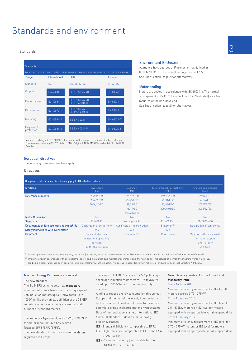### Standards and environment

#### Standards

| <b>Standards</b>         |               |                                                                                                   |               |
|--------------------------|---------------|---------------------------------------------------------------------------------------------------|---------------|
|                          |               | Motors of cast iron construction can be manufactured to the international standards listed below: |               |
| Range                    | International | <b>UK</b>                                                                                         | <b>Europe</b> |
| Standard                 | <b>IFC</b>    | <b>BS. EN &amp; IEC</b>                                                                           | FN & IFC      |
| Outputs                  | IEC 60034-1   | BS EN 50347:2001                                                                                  | EN 50347      |
| Performance              | IEC 60034-1   | BS EN 50347:2001<br>BS EN 60034-30                                                                | EN 60034-1    |
| Dimensions               | IEC 60072-1   | <b>BS EN 50347</b><br>BS 4999 part 141                                                            | EN 50347      |
| Mounting                 | IEC 60034-7   | BS EN 60034-7                                                                                     | EN 60034-7    |
| Degrees of<br>protection | IEC 60034-5   | BS EN 60034-5                                                                                     | EN 60034-5    |

Motors complying with IEC 60034-1 also comply with many of the national standards of other European countries, eg CEI 203 (Italy), NBN7 (Belgium), NEN 3173 (Netherlands), SEN 2601 01 (Sweden)

#### European directives

The following European directives apply:

#### **Directives**

| Compliance with European directives applying to AC induction motors |                                                                              |                              |                                        |                                                                                |
|---------------------------------------------------------------------|------------------------------------------------------------------------------|------------------------------|----------------------------------------|--------------------------------------------------------------------------------|
| <b>Directives</b>                                                   | Low voltage<br>[LV]                                                          | Machinery<br>[MD]            | Electromagnetic compatibility<br>[EMC] | Energy using products<br>[EuP]                                                 |
| Reference numbers                                                   | 73/23/EEC                                                                    | 89/392/EEC                   | 89/336/EEC                             | 92/42/EEC                                                                      |
|                                                                     | 93/68/EEC                                                                    | 93/44/EEC                    | 92/31/EEC                              | 96/57/EC                                                                       |
|                                                                     | 2006/95/EC                                                                   | 98/37/EC                     | 93/68/EEC                              | 2000/55/EC                                                                     |
|                                                                     |                                                                              | 98/79/EC                     | 2004/108/EC                            | 2005/32/EC                                                                     |
|                                                                     |                                                                              | 2006/42/EC                   |                                        |                                                                                |
| Motor CE marked                                                     | <b>Yes</b>                                                                   | <b>No</b>                    | No                                     | <b>Yes</b>                                                                     |
| <b>Standards</b>                                                    | FN 60034                                                                     | Not applicable               | EN 60034-1                             | EN 60034-30                                                                    |
| Documentation for customers' technical file                         | Declaration of conformity                                                    | Certificate of incorporation | Statement <sup>[1]</sup>               | Declaration of conformity                                                      |
| Safety instructions with every motor                                | Yes                                                                          | Yes.                         | Yes.                                   |                                                                                |
| <b>Comment</b>                                                      | Relevant electrical<br>equipment operating<br>hetween<br>50 to 1000 volts AC | Statement <sup>[2]</sup>     | Component                              | Minimum efficiency levels<br>for motor outputs<br>$0.75 - 375kW$<br>$2-6$ pole |

(1) Motors operating from a correctly applied, sinusoidal (AC) supply meet the requirements of the EMC directive and are within the limits specified in standard EN 60034-1 <sup>[2]</sup> When installed in accordance with our customer safety and installation and maintenance instructions, they can be put into service only when the machinery into which they

are being incorporated, has been declared to be in conformity with the machinery directive in accordance with Article 4(2) and Annex IIB of that Directive (98/37/EEC)

#### Minimum Energy Performance Standard

#### The new standard

The EU MEPS scheme sets new **mandatory** minimum efficiency levels for most single speed 3ph induction motors up to 375kW rated up to 1000V, unlike the narrow definition of the CEMEP voluntary scheme which only covered a small number of standard motors.

The Voluntary Agreement, since 1998, of CEMEP for motor manufactures has expired (classes EFF3 /EFF2/EFF1).

The new standard for motors is now mandatory regulation in Europe.

The scope of EU MEPS covers 2, 4 & 6 pole single speed 3ph induction motors from 0.75 to 375kW, rated up to 1000V based on continuous duty operation.

Aiming to reduce energy consumption throughout Europe and the rest of the world, it comes into effect in 3 stages . The effect of this is to maximise potential savings in electric motor driven systems. Base of the regulation is a new international IEC 60034-30 standard. It defines the following efficiency classes :

IE1 - Standard Efficiency (comparable to EFF2)

- IE2 High Efficiency (comparable to EFF1 and USA EPACT 60 Hz)
- IE3 Premium Efficiency (comparable to USA "NEMA Premium" 60 Hz)

#### Environment Enclosure

All motors have degrees of IP protection as defined in IEC EN 60034-5. The normal arrangement is IP55. See Specification (page 2) for alternatives.

#### Motor cooling

Motors are cooled in accordance with IEC 60034-6. The normal arrangement is IC411 (Totally Enclosed Fan Ventilated) via a fan mounted at the non-drive end.

See Specification (page 2) for alternatives.

| New Efficiency levels in Europe (Time Line) |  |
|---------------------------------------------|--|
| Mandatory from:                             |  |
| Since 16 June 2011:                         |  |

Minimum efficiency requirement at IE2 for all motors covered 0.75 - 375kW From 1 January 2015:

Minimum efficiency requirement at IE3 level for 7.5 - 375kW motors or IE2 level for motors equipped with an appropriate variable speed drive. From 1 January 2017:

Minimum efficiency requirement at IE3 level for 0.75 - 375kW motors or IE2 level for motors equipped with an appropriate variable speed drive.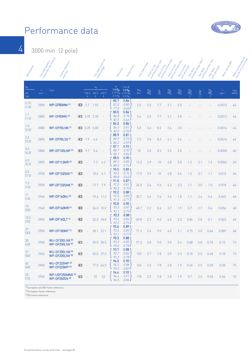

4

3000 min-1 (2 pole)

| Randoner                      | Full load speeding | revolutions permitting<br>Frame released<br>and sixe           |                 |                 |                                    | Full load Currence<br>Teled Monday | Efficiency                                                | Pour factor                                                        | Full load for gue                | Direct on line    | starting to que ratio<br>Direct on line | starting current ratio<br>Direct on line | pull out to appear of the<br>Direct on line<br>pull up to pull | Stan oeu-         | , starting to out a dition<br>Slanderda | Starting Current atto<br>Slan devila | Roningstria William<br>pull up to gue | Mean sound processing<br>level a 1 m on'n sin sin |
|-------------------------------|--------------------|----------------------------------------------------------------|-----------------|-----------------|------------------------------------|------------------------------------|-----------------------------------------------------------|--------------------------------------------------------------------|----------------------------------|-------------------|-----------------------------------------|------------------------------------------|----------------------------------------------------------------|-------------------|-----------------------------------------|--------------------------------------|---------------------------------------|---------------------------------------------------|
| $\frac{P_N}{P}$<br>kW<br>[hp] | n<br>$min-1$       | Type                                                           |                 | 230 V<br>A      | <sup>I</sup> N<br>400 V 690 V<br>A | $\mathsf{A}$                       | $\eta$<br>$1.0 P_{N}$<br>0.75 P <sub>N</sub><br>$0.5 P_N$ | $Cos \varnothing$<br>1.0 P <sub>N</sub><br>$0.75 P_N$<br>$0.5 P_N$ | $M_{\hbox{\scriptsize N}}$<br>Nm | $\frac{M_A}{M_N}$ | $\frac{I_A}{I_N}$                       | $\frac{M_K}{M_N}$                        | $\frac{M_S}{M_N}$                                              | $\frac{M_A}{M_N}$ | $\frac{1_A}{N}$                         | $\frac{M_S}{M_N}$                    | J<br>kgm <sup>2</sup>                 | L <sub>PA</sub><br>dB(A)                          |
| 0.75<br>(1.0)                 | 2890               | WP-DF80MM (1)                                                  | IE <sub>3</sub> | 2.7             | 1.55                               |                                    | 80.7<br>81.0<br>77.0                                      | 0.86<br>0.80<br>$0.68 -$                                           | 2.5                              | 3.3               | 7.7                                     | 3.1                                      | 2.5                                                            |                   |                                         |                                      | 0.0013                                | 64                                                |
| 1.1<br>(1.5)                  | 2885               | <b>WP-DF80MS (1)</b>                                           |                 | <b>IE3</b> 3.95 | 2.30                               |                                    | 83.5<br>84.8<br>83.5                                      | 0.84<br>0.78<br>$0.66 -$                                           | 3.6                              | 3.5               | 7.7                                     | 3.1                                      | 2.8                                                            |                   |                                         |                                      | 0.0012                                | 64                                                |
| 1.5<br>(2.0)                  | 2880               | WP-DF90LMX <sup>(1)</sup>                                      |                 | $IE3 \t 5.25$   | 3.00                               |                                    | 84.2<br>84.5<br>82.0                                      | 0.86<br>0.81<br>0.70.                                              | 5.0                              | 3.4               | 8.2                                     | 3.6                                      | 2.8                                                            |                   |                                         |                                      | 0.0014                                | 64                                                |
| 2.2<br>(3.0)                  | 2895               | WP-DF90LSX <sup>(1)</sup>                                      | IE <sub>3</sub> | 7.9             | 4.6                                |                                    | 85.9<br>85.9<br>84.2                                      | 0.81<br>0.73<br>0.59                                               | 7.3                              | 3.8               | 8.5                                     | 4.1                                      | 3.6                                                            |                   |                                         |                                      | 0.0016                                | 64                                                |
| 3.0<br>(4.0)                  | 2880               | <b>WP-DF100LMF<sup>(1)</sup></b>                               | IE <sub>3</sub> | 9.7             | 5.6                                |                                    | 87.1<br>88.7<br>88.7                                      | 0.93<br>0.90<br>0.84                                               | 10                               | 3.0               | 8.2                                     | 3.3                                      | 2.8                                                            |                   |                                         |                                      | 0.0058                                | 60                                                |
| 4.0<br>(5.5)                  | 2895               | <b>WP-DF112MR<sup>(1)</sup></b>                                | IE <sub>3</sub> |                 | 7.3                                | 4.2                                | 88.5<br>89.2<br>88.5                                      | 0.90<br>0.85<br>0.74                                               | 13.2                             | 3.9               | 10                                      | 4.8                                      | 3.8                                                            | 1.2               | 3.1                                     | 1.2                                  | 0.0064                                | 60                                                |
| 5.5<br>(7.5)                  | 2930               | <b>WP-DF132SGX [1]</b>                                         | IE <sub>3</sub> |                 | 10.6                               | 6.1                                | 90.5<br>90.5<br>88.8                                      | 0.83<br>0.76<br>0.63                                               | 17.9                             | 3.9               | 10                                      | 4.8                                      | 3.6                                                            | 1.2               | 3.1                                     | 1.1                                  | 0.015                                 | 66                                                |
| 7.5<br>(10)                   | 2930               | <b>WP-DF132SMX [1]</b>                                         | IE <sub>3</sub> |                 | 13.7                               | 7.9                                | 91.0<br>91.2<br>90.3                                      | 0.87<br>0.81<br>0.70                                               | 24.5                             | 3.6               | 9.6                                     | 4.3                                      | 3.3                                                            | 1.1               | 3.0                                     | 1.0                                  | 0.018                                 | 66                                                |
| 11<br>(15)                    | 2945               | WP-DF160MJ <sup>(1)</sup>                                      | IE <sub>3</sub> |                 | 19.6                               | 11.3                               | 92.2<br>92.5<br>91.5                                      | 0.88<br>0.85<br>0.77.                                              | 35.7                             | 3.6               | 7.6                                     | 3.6                                      | 1.8                                                            | 1.1               | 2.4                                     | 0.6                                  | 0.045                                 | 68                                                |
| 15<br>(20)                    | 2940               | <b>WP-DF160MR (1)</b>                                          | IE <sub>3</sub> |                 | 26.0 15.0                          |                                    | 93.0<br>93.3<br>93.1                                      | 0.90<br>0.87<br>0.79                                               | 48.7                             | 2.2               | 8.6                                     | 3.7                                      | 1.9                                                            | 0.7               | 2.7                                     | 0.6                                  | 0.056                                 | 68                                                |
| 18.5<br>(25)                  | 2955               | <b>WP-DF160LT<sup>(1)</sup></b>                                | IE <sub>3</sub> |                 | 32.5                               | 18.8                               | 93.3<br>93.4<br>92.5                                      | 0.88<br>0.84<br>0.75                                               | 59.8                             | 2.7               | 9.0                                     | 4.0                                      | 2.2                                                            | 0.84              | 2.8                                     | 0.7                                  | 0.063                                 | 68                                                |
| 22<br>(30)                    | 2950               | <b>WP-DF180MF<sup>(1)</sup></b>                                | IE <sub>3</sub> |                 | 38.1                               | 22.1                               | 93.6<br>93.6<br>93.1                                      | 0.89<br>0.85<br>0.77.                                              | 71.3                             | 2.4               | 9.5                                     | 4.0                                      | 2.1                                                            | 0.75              | 3.0                                     | 0.66                                 | 0.089                                 | 68                                                |
| 30<br>(40)                    | 2950               | <b>WU-DF200LNX<sup>(2)</sup></b><br>WP-DF200LNX <sup>(3)</sup> | IE <sub>3</sub> |                 | 53.0                               | 30.5                               | 93.3<br>93.3<br>93.0                                      | 0.88<br>0.85<br>0.78                                               | 97.2                             | 2.8               | 9.0                                     | 3.0                                      | 2.4                                                            | 0.88              | 2.8                                     | 0.75                                 | 0.15                                  | 73                                                |
| 37<br>(50)                    | 2945               | WU-DF200LNX <sup>(2)</sup><br><b>WP-DF200LNX<sup>(3)</sup></b> | IE <sub>3</sub> |                 | 65.0 37.5                          |                                    | 93.7<br>93.7<br>93.3                                      | 0.88<br>0.85<br>0.78                                               | 120                              | 2.7               | 7.8                                     | 2.9                                      | 2.3                                                            | 0.75              | 2.5                                     | 0.60                                 | 0.18                                  | 73                                                |
| 45<br>(60)                    | 2960               | <b>WU-DF225MP (2)</b><br><b>WP-DF225MP [3]</b>                 | IE <sub>3</sub> | $\sim$          | 77.0 44.5                          |                                    | 94.3<br>94.3<br>93.3                                      | 0.90<br>0.88<br>0.83                                               | 145                              | 2.3               | 7.8                                     | 2.8                                      | 1.9                                                            | 0.65              | 2.5                                     | 0.50                                 | 0.38                                  | 75                                                |
| 55<br>(75)                    | 2955               | WP-UDF250MNE <sup>[2]</sup><br><b>WP-DF250SN (3)</b>           | IE <sub>3</sub> |                 | 92                                 | 53                                 | 94.6<br>94.6<br>94.5                                      | 0.92<br>0.91<br>0.86                                               | 178                              | 2.2               | 7.8                                     | 2.8                                      | 1.9                                                            | 0.7               | 2.5                                     | 0.50                                 | 0.56                                  | 75                                                |

(1) European and BS frame reference

<sup>(2)</sup> European frame reference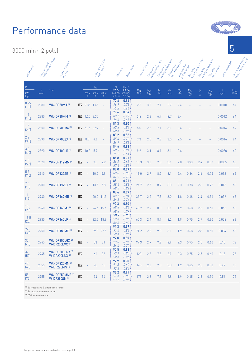3000 min-1 (2 pole)



5

(1) European and BS frame reference

For performance curves and notes - see page 28

<sup>(2)</sup> European frame reference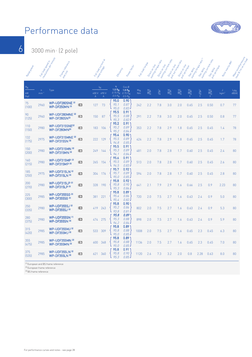

6 3000 min-1 (2 pole)

| Rategraties                   | Full loads speed in | revolutions permittue<br>Frame release.<br>and sixe          |                 | Full load Current at                                     | rated to the | Efficiency                                                | Porter factor                                          | Full load to go |                   | Direct on the Tailor<br>Oirect on trine | Starting Current atto<br>Oriect on tripe | pull out to appear after<br>Oirect on trine | Starting border<br>pull up to pue |                   | Serraula<br>Istring Curence<br>pullus to gue | Rooringstria Wire      | Mean sound processing<br>level a 1 m on normal |
|-------------------------------|---------------------|--------------------------------------------------------------|-----------------|----------------------------------------------------------|--------------|-----------------------------------------------------------|--------------------------------------------------------|-----------------|-------------------|-----------------------------------------|------------------------------------------|---------------------------------------------|-----------------------------------|-------------------|----------------------------------------------|------------------------|------------------------------------------------|
| $\frac{P_N}{P}$<br>kW<br>[hp] | n<br>$min-1$        | Type                                                         |                 | $\mathsf{I}_{\mathsf{N}}$<br>400 V 690 V<br>$\mathsf{A}$ | $\mathsf{A}$ | $\eta$<br>$1.0 P_{N}$<br>$0.75 P_N$<br>0.5 P <sub>N</sub> | Cos Ø<br>1.0 P <sub>N</sub><br>$0.75 P_N$<br>$0.5 P_N$ | $M_N$<br>Nm     | $\frac{M_A}{M_N}$ | $\frac{I_A}{I_N}$                       | $\frac{M_K}{M_N}$                        | $\frac{M_S}{M_N}$                           | $\frac{M_A}{M_N}$                 | $\frac{1_A}{1_N}$ | $\frac{M_S}{M_N}$                            | J.<br>kgm <sup>2</sup> | $L_{\text{PA}}$<br>dB(A)                       |
| 75<br>(100)                   | 2960                | WP-UDF280SNE <sup>(2)</sup><br>WP-DF250MN <sup>(3)</sup>     | IE <sub>3</sub> | 127                                                      | 73           | 95.0<br>95.1<br>95.0                                      | 0.90<br>0.87<br>$0.83 -$                               | 242             | 2.2               | 7.8                                     | 3.0                                      | 2.0                                         | 0.65                              | 2.5               | 0.50                                         | 0.7                    | 77                                             |
| 90<br>(125)                   | 2960                | WP-UDF280MNE <sup>(2)</sup><br>WP-DF280SN(3)                 | IE <sub>3</sub> | 150                                                      | 87           | 95.5<br>95.5<br>95.3                                      | 0.91<br>0.88<br>0.82                                   | 291             | 2.2               | 7.8                                     | 3.0                                      | 2.0                                         | 0.65                              | 2.5               | 0.50                                         | 0.8                    | 77                                             |
| 110<br>(150)                  | 2980                | WP-UDF315SNE <sup>[2]</sup><br>WP-DF280MN(3)                 | IE <sub>3</sub> | 183                                                      | 106          | 95.2<br>95.2<br>95.2                                      | $0.91$ 1<br>0.89<br>$0.84 -$                           | 353             | 2.2               | 7.8                                     | 2.9                                      | 1.8                                         | 0.65                              | 2.5               | 0.45                                         | 1.4                    | 78                                             |
| 132<br>[175]                  | 2975                | WP-UDF315MNE <sup>[2]</sup><br><b>WP-DF315SN (3)</b>         | IE <sub>3</sub> | 222                                                      | 129          | 95.4<br>95.5<br>94.8                                      | 0.90<br>0.89<br>0.85                                   | 424             | 2.2               | 7.8                                     | 2.9                                      | 1.8                                         | 0.65                              | 2.5               | 0.45                                         | 1.7                    | 78                                             |
| 150<br>(200)                  | 2980                | <b>WP-UDF315MN (2)</b><br><b>WP-DF315MN (3)</b>              | IE <sub>3</sub> | 249                                                      | 144          | 95.5<br>95.3<br>94.1                                      | 0.91<br>0.89<br>0.84                                   | 481             | 2.0               | 7.8                                     | 2.8                                      | 1.7                                         | 0.60                              | 2.5               | 0.45                                         | 2.4                    | 80                                             |
| 160<br>[215]                  | 2980                | WP-UDF315MP <sup>(2)</sup><br>WP-DF315MP <sup>(3)</sup>      | IE <sub>3</sub> | 265                                                      | 154          | 95.6<br>95.5<br>94.5                                      | 0.91<br>0.89<br>$0.83 -$                               | 513             | 2.0               | 7.8                                     | 2.8                                      | 1.7                                         | 0.60                              | 2.5               | 0.45                                         | 2.6                    | 80                                             |
| 185<br>(250)                  | 2975                | <b>WP-UDF315LN (2)</b><br>WP-DF315LN (3)                     | IE <sub>3</sub> | 304                                                      | 176          | 95.7<br>95.7<br>95.0                                      | 0.92 <sub>1</sub><br>0.89<br>0.85                      | 594             | 2.0               | 7.8                                     | 2.8                                      | 1.7                                         | 0.60                              | 2.5               | 0.45                                         | 2.8                    | 80                                             |
| 200<br>[270]                  | 2980                | WP-UDF315LP <sup>(2)</sup><br><b>WP-DF315LP [3]</b>          | IE <sub>3</sub> | 328                                                      | 190          | 95.8<br>95.8<br>95.3                                      | 0.92 <sub>1</sub><br>0.90<br>0.86                      | 641             | 2.1               | 7.9                                     | 2.9                                      | 1.6                                         | 0.66                              | 2.5               | 0.9                                          | 2.23                   | 80                                             |
| 225<br>(300)                  | 2985                | WP-UDF355SG <sup>(2)</sup><br><b>WP-DF355SG<sup>BI</sup></b> | IE <sub>3</sub> | 381                                                      | 221          | 95.8<br>95.4<br>95.4                                      | 0.89<br>0.86<br>0.82.                                  | 720             | 2.0               | 7.5                                     | 2.7                                      | 1.6                                         | 0.63                              | 2.4               | 0.9                                          | 5.0                    | 80                                             |
| 250<br>[335]                  | 2980                | WP-UDF355SJ <sup>2</sup><br>WP-DF355SJ <sup>(3)</sup>        | IE <sub>3</sub> | 419                                                      | 243          | 95.8<br>95.2<br>93.8                                      | 0.90<br>0.86<br>0.81                                   | 802             | 2.0               | 7.5                                     | 2.7                                      | 1.6                                         | 0.63                              | 2.4               | 0.9                                          | 5.3                    | 80                                             |
| 280<br>(375)                  | 2980                | <b>WP-UDF355SN (1)</b><br><b>WP-DF355SN (3)</b>              | IE <sub>3</sub> | 474                                                      | 275          | 95.8<br>95.3<br>94.2                                      | 0.89<br>0.88<br>0.84                                   | 898             | 2.0               | 7.5                                     | 2.7                                      | 1.6                                         | 0.63                              | 2.4               | 0.9                                          | 5.9                    | 80                                             |
| 315<br>(420)                  | 2985                | WP-UDF355MJ <sup>(2)</sup><br>WP-DF355MJ <sup>(3)</sup>      | IE <sub>3</sub> | 533                                                      | 309          | 95.8<br>95.8<br>95.0                                      | 0.89<br>0.88<br>$0.85 -$                               | 1008            | 2.0               | 7.5                                     | 2.7                                      | 1.6                                         | 0.65                              | 2.3               | 0.45                                         | 6.3                    | 80                                             |
| 355<br>(475)                  | 2985                | WP-UDF355MN <sup>[2]</sup><br><b>WP-DF355MN [3]</b>          | IE <sub>3</sub> | 600                                                      | 348          | 95.8<br>95.8<br>95.0                                      | 0.89<br>0.88<br>$0.85 -$                               | 1136            | 2.0               | 7.5                                     | 2.7                                      | 1.6                                         | 0.65                              | 2.3               | 0.45                                         | 7.0                    | 80                                             |
| 375<br>[535]                  | 2985                | <b>WP-UDF355LN (2)</b><br><b>WP-DF355LN (3)</b>              | IE <sub>3</sub> | 621                                                      | 360          | 95.8<br>95.8<br>95.3                                      | 0.91<br>0.90<br>0.85                                   | 1120            | 2.6               | 7.3                                     | 3.2                                      | 2.0                                         | 0.8                               | 2.28              | 0.63                                         | 8.0                    | 80                                             |

(1) European and BS frame reference

(2) European frame reference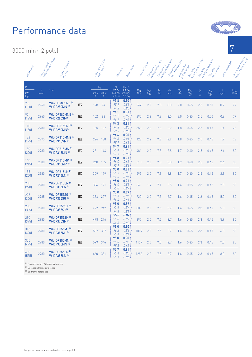3000 min-1 (2 pole)

| Rategrowth                    | Full loads speed in     | revolutions per minute<br>Frame release.<br>and sixe         |                 | Full load Currence<br>rated to the                            | Efficiency                                                     | Porter Techno                                                      | Full laad to go   | Direct on line    | starting to que ratio<br>Oirect on tripe | Starting Current ratio<br>Oriect on trine | pull out to appear ato<br>Direct on line | Serrental<br>Laring <sup>Co</sup> rpus<br>Serrental<br>pull yp to go |                   | Starting Current attack<br>pullus to gue<br>Star oeux | Rotoriaeria William    | Mean sound processing<br>level a 1 m on notice |
|-------------------------------|-------------------------|--------------------------------------------------------------|-----------------|---------------------------------------------------------------|----------------------------------------------------------------|--------------------------------------------------------------------|-------------------|-------------------|------------------------------------------|-------------------------------------------|------------------------------------------|----------------------------------------------------------------------|-------------------|-------------------------------------------------------|------------------------|------------------------------------------------|
| $\frac{P_N}{P}$<br>kW<br>[hp] | $\mathsf{n}$<br>$min-1$ | Type                                                         |                 | $\mathsf{I}_{\mathsf{N}}$<br>400 V 690 V<br>$\mathsf{A}$<br>А | $\eta$<br>$1.0\ P_{\rm N}$<br>0.75 P <sub>N</sub><br>$0.5 P_N$ | $Cos \varnothing$<br>1.0 R <sub>N</sub><br>$0.75 P_N$<br>$0.5 P_N$ | $\frac{M_N}{N_m}$ | $\frac{M_A}{M_N}$ | $\frac{I_A}{I_N}$                        | $\frac{M_K}{M_N}$                         | $\frac{M_S}{M_N}$                        | $\frac{M_A}{M_N}$                                                    | $\frac{1_A}{1_N}$ | $\frac{M_S}{M_N}$                                     | J.<br>kgm <sup>2</sup> | $L_{\text{PA}}$<br>dB(A)                       |
| 75<br>(100)                   | 2960                    | <b>WU-DF280SNE<sup>(2)</sup></b><br>W-DF250MN <sup>(3)</sup> | IE <sub>2</sub> | 74<br>128                                                     | 93.8<br>95.1<br>94.3                                           | 0.90<br>0.91<br>0.90.                                              | 242               | 2.2               | 7.8                                      | 3.0                                       | 2.0                                      | 0.65                                                                 | 2.5               | 0.50                                                  | 0.7                    | 77                                             |
| 90<br>(125)                   | 2960                    | WU-DF280MNE <sup>(2)</sup><br><b>W-DF280SN(3)</b>            | IE <sub>2</sub> | 88<br>152                                                     | 94.1<br>95.2<br>94.7                                           | 0.91<br>0.89<br>0.83                                               | 290               | 2.2               | 7.8                                      | 3.0                                       | 2.0                                      | 0.65                                                                 | 2.5               | 0.50                                                  | 0.8                    | 77                                             |
| 110<br>(150)                  | 2980                    | WU-DF315SNE <sup>[2]</sup><br>W-DF280MN(3)                   | IE <sub>2</sub> | 107<br>185                                                    | 94.3<br>94.8<br>93.7                                           | 0.91<br>0.90<br>0.85                                               | 353               | 2.2               | 7.8                                      | 2.9                                       | 1.8                                      | 0.65                                                                 | 2.5               | 0.45                                                  | 1.4                    | 78                                             |
| 132<br>(175)                  | 2975                    | WU-DF315MNE <sup>(2)</sup><br>W-DF315SN (3)                  | IE <sub>2</sub> | 224<br>130                                                    | 94.6<br>96.3<br>95.9                                           | 0.90 <sub>1</sub><br>0.91<br>0.88                                  | 423               | 2.2               | 7.8                                      | 2.9                                       | 1.8                                      | 0.65                                                                 | 2.5               | 0.45                                                  | 1.7                    | 78                                             |
| 150<br>(200)                  | 2980                    | <b>WU-DF315MN (2)</b><br>W-DF315MN <sup>(3)</sup>            | IE <sub>2</sub> | 251<br>146                                                    | 94.7<br>95.4<br>94.5                                           | 0.91<br>0.88<br>0.83                                               | 481               | 2.0               | 7.8                                      | 2.8                                       | 1.7                                      | 0.60                                                                 | 2.5               | 0.45                                                  | 2.4                    | 80                                             |
| 160<br>[215]                  | 2980                    | <b>WU-DF315MP<sup>(2)</sup></b><br>W-DF315MP <sup>(3)</sup>  | IE <sub>2</sub> | 155<br>268                                                    | 94.8<br>96.0<br>95.1                                           | $0.91$ )<br>0.88<br>$0.83 -$                                       | 513               | 2.0               | 7.8                                      | 2.8                                       | 1.7                                      | 0.60                                                                 | 2.5               | 0.45                                                  | 2.6                    | 80                                             |
| 185<br>(250)                  | 2980                    | <b>WU-DF315LN (2)</b><br>W-DF315LN [3]                       | IE <sub>2</sub> | 309<br>179                                                    | 95.0<br>95.5<br>94.6                                           | 0.91<br>0.90<br>0.86                                               | 593               | 2.0               | 7.8                                      | 2.8                                       | 1.7                                      | 0.60                                                                 | 2.5               | 0.45                                                  | 2.8                    | 80                                             |
| 200<br>(270)                  | 2980                    | <b>WU-DF315LN (2)</b><br>W-DF315LN [3]                       | IE <sub>2</sub> | 191<br>334                                                    | 95.0<br>96.0<br>95.0                                           | 0.91<br>0.91<br>0.87                                               | 641               | 1.9               | 7.1                                      | 2.5                                       | 1.6                                      | 0.55                                                                 | 2.3               | 0.42                                                  | 2.8                    | 80                                             |
| 225<br>(300)                  | 2985                    | <b>WU-DF355SG<sup>(2)</sup></b><br>W-DF355SG <sup>(3)</sup>  | IE <sub>2</sub> | 227<br>384                                                    | 95.0<br>95.5<br>94.4                                           | 0.89<br>0.86<br>0.81                                               | 720               | 2.0               | 7.5                                      | 2.7                                       | 1.6                                      | 0.65                                                                 | 2.3               | 0.45                                                  | 5.0                    | 80                                             |
| 250<br>(335)                  | 2980                    | <b>WU-DF355SJ<sup>121</sup></b><br>W-DF355SJ <sup>(3)</sup>  | IE <sub>2</sub> | 247<br>427                                                    | 95.0<br>95.6<br>94.6                                           | 0.89<br>0.87<br>0.81.                                              | 801               | 2.0               | 7.5                                      | 2.7                                       | 1.6                                      | 0.65                                                                 | 2.3               | 0.45                                                  | 5.3                    | 80                                             |
| 280<br>(375)                  | 2980                    | <b>WU-DF355SN (1)</b><br>W-DF355SN (3)                       | IE <sub>2</sub> | 478<br>276                                                    | 95.0<br>95.8<br>64.8                                           | 0.89<br>0.87<br>0.82                                               | 897               | 2.0               | 7.5                                      | 2.7                                       | 1.6                                      | 0.65                                                                 | 2.3               | 0.45                                                  | 5.9                    | 80                                             |
| 315<br>(420)                  | 2980                    | <b>WU-DF355MJ</b> <sup>(2)</sup><br>W-DF355MJ <sup>(3)</sup> | IE <sub>2</sub> | 307<br>532                                                    | 95.0<br>96.2<br>95.4                                           | 0.90<br>0.93<br>0.84                                               | 1009              | 2.0               | 7.5                                      | 2.7                                       | 1.6                                      | 0.65                                                                 | 2.3               | 0.45                                                  | 6.3                    | 80                                             |
| 355<br>(475)                  | 2980                    | <b>WU-DF355MN (2)</b><br>W-DF355MN (3)                       | IE <sub>2</sub> | 599<br>346                                                    | 95.0<br>96.0<br>95.5                                           | 0.90<br>0.88<br>$0.83 -$                                           | 1137              | 2.0               | 7.5                                      | 2.7                                       | 1.6                                      | 0.65                                                                 | 2.3               | 0.45                                                  | 7.0                    | 80                                             |
| 400<br>(535)                  | 2980                    | <b>WU-DF355LN [2]</b><br>W-DF355LN (3)                       |                 | 381<br>660                                                    | 95.7<br>95.4<br>95.1                                           | 0.91'<br>0.90<br>$0.86 -$                                          | 1282              | 2.0               | 7.5                                      | 2.7                                       | 1.6                                      | 0.65                                                                 | 2.3               | 0.45                                                  | 8.0                    | 80                                             |

7

(1) European and BS frame reference

(2) European frame reference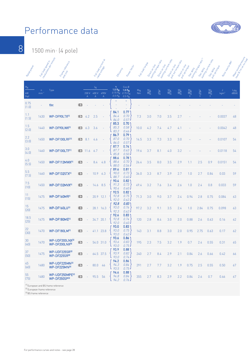

8

1500 min-1 (4 pole)

| Ranco poucher                 | Full load speeding      | revolutions per minute<br>Frame release.<br>and sixe      |                 |                 |                                         | Full load Currence<br>Taleo Lough | Efficiency                                               | Pour factor                                         | Full laad to go | Direct on line    | starting to que ratio<br>Direct on line | staring current ratio<br>Direct on line | pull out to appear of the<br>Direct on line | pull yp done<br>Star oeux | , starting to out a dition<br>Slanderda | Starting Current atto<br>Stan oeu- | Roningstria William<br>pull up to gue | Mean sound processing<br>. letel 81m on'n render |
|-------------------------------|-------------------------|-----------------------------------------------------------|-----------------|-----------------|-----------------------------------------|-----------------------------------|----------------------------------------------------------|-----------------------------------------------------|-----------------|-------------------|-----------------------------------------|-----------------------------------------|---------------------------------------------|---------------------------|-----------------------------------------|------------------------------------|---------------------------------------|--------------------------------------------------|
| $\frac{P_N}{P}$<br>kW<br>[hp] | $\mathsf{n}$<br>$min-1$ | Type                                                      |                 | 230 V<br>A      | <sup>I</sup> N<br>400 V<br>$\mathsf{A}$ | 690V<br>$\mathsf A$               | η<br>$1.0 P_{\rm N}$<br>$0.75 P_N$<br>0.5 P <sub>N</sub> | $Cos \emptyset$<br>1.0 $\frac{1}{P_N}$<br>$0.5 P_N$ | $M_N$<br>Nm     | $\frac{M_A}{M_N}$ | $\frac{I_A}{I_N}$                       | $\frac{M_K}{M_N}$                       | $\frac{M_S}{M_N}$                           | $\frac{M_A}{M_N}$         | $\frac{I_A}{I_N}$                       | $\frac{M_S}{M_N}$                  | J<br>kgm <sup>2</sup>                 | L <sub>PA</sub><br>dB(A)                         |
| 0.75<br>(1.0)                 |                         | tbc                                                       | IE <sub>3</sub> |                 |                                         |                                   |                                                          | ۰                                                   |                 |                   |                                         |                                         |                                             |                           |                                         |                                    |                                       |                                                  |
| 1.1<br>(1.5)                  | 1430                    | WP-DF90LTX <sup>(1)</sup>                                 | IE3             | 4.2             | 2.5                                     |                                   | 84.1<br>84.4<br>84.0                                     | 0.77<br>0.70<br>0.57                                | 7.3             | 3.0               | 7.0                                     | 3.5                                     | 2.7                                         |                           |                                         |                                    | 0.0037                                | 48                                               |
| 1.5<br>(2.0)                  | 1440                    | WP-DF90LWX <sup>(1)</sup>                                 | IE3             | 6.3             | 3.6                                     |                                   | 85.3<br>85.3<br>83.2                                     | 0.70<br>0.58<br>$0.46 \cdot$                        | 10.0            | 4.2               | 7.4                                     | 4.7                                     | 4.1                                         |                           |                                         |                                    | 0.0042                                | 48                                               |
| 2.2<br>(3.0)                  | 1450                    | WP-DF100LRF <sup>(1)</sup>                                | IE3             | 8.1             | 4.6                                     |                                   | 86.7<br>87.0<br>86.0                                     | 0.79<br>0.70<br>0.57.                               | 14.5            | 3.3               | 7.3                                     | 3.3                                     | 3.0                                         |                           |                                         |                                    | 0.0107                                | 54                                               |
| 3.0<br>(4.0)                  | 1460                    | WP-DF100LTF <sup>(1)</sup>                                |                 | <b>IE3</b> 11.6 | 6.7                                     |                                   | 87.7<br>87.7<br>85.8                                     | 0.74'<br>0.63<br>0.50                               | 19.6            | 3.7               | 8.1                                     | 4.0                                     | 3.2                                         |                           |                                         |                                    | 0.0118                                | 54                                               |
| 4.0<br>(5.5)                  | 1450                    | WP-DF112MWX <sup>(1)</sup>                                | IE <sub>3</sub> |                 | 8.4                                     | 4.8                               | 88.6<br>88.6<br>88.0                                     | 0.78<br>0.70<br>0.56                                | 26.4            | 3.5               | 8.0                                     | 3.5                                     | 2.9                                         | 1.1                       | 2.5                                     | 0.9                                | 0.0151                                | 54                                               |
| $5.5\,$<br>(7.5)              | 1460                    | <b>WP-DF132STX(1)</b>                                     | IE <sub>3</sub> |                 | 10.9                                    | 6.3                               | 89.6<br>90.0<br>88.7                                     | 0.81<br>0.73<br>0.60.                               | 36.0            | 3.3               | 8.7                                     | 3.9                                     | 2.7                                         | 1.0                       | 2.7                                     | 0.84                               | 0.03                                  | 59                                               |
| 7.5<br>(10)                   | 1450                    | <b>WP-DF132MVX(1)</b>                                     | IE <sub>3</sub> |                 | 14.6                                    | 8.5                               | 90.4<br>91.3<br>90.4                                     | 0.82<br>0.73<br>0.60                                | 49.4            | 3.2               | 7.6                                     | 3.4                                     | 2.6                                         | 1.0                       | 2.4                                     | 0.8                                | 0.033                                 | 59                                               |
| 11<br>(15)                    | 1475                    | WP-DF160MR <sup>1)</sup>                                  | IE <sub>3</sub> |                 | 20.9                                    | 12.1                              | 92.5<br>92.8<br>92.0                                     | 0.82<br>0.75<br>0.62                                | 71.3            | 3.0               | 9.0                                     | 3.7                                     | 2.4                                         | 0.94                      | 2.8                                     | 0.75                               | 0.084                                 | 63                                               |
| 15<br>(20)                    | 1475                    | <b>WP-DF160LU(1)</b>                                      | IE <sub>3</sub> |                 |                                         | 28.1 16.3                         | 92.8<br>93.0<br>92.3                                     | 0.83<br>0.76<br>0.62                                | 97.2            | 3.2               | 9.1                                     | 3.5                                     | 2.4                                         | 1.0                       | 2.84                                    | 0.75                               | 0.098                                 | 63                                               |
| 18.5<br>(25)                  | 1475                    | WP-DF180ME <sup>(1)</sup>                                 | IE <sub>3</sub> |                 | 34.7                                    | 20.1                              | 92.6<br>92.8<br>92.0                                     | 0.83<br>0.74<br>0.60                                | 120             | 2.8               | 8.4                                     | 3.0                                     | 2.0                                         | 0.88                      | 2.6                                     | 0.63                               | 0.16                                  | 62                                               |
| 22<br>(30)                    | 1470                    | <b>WP-DF180LM(1)</b>                                      | IE <sub>3</sub> |                 | 41.1                                    | 23.8                              | 93.0<br>93.0<br>93.0                                     | 0.83<br>0.75<br>0.62                                | 143             | 3.1               | 8.8                                     | 3.0                                     | 2.0                                         | 0.95                      | 2.75                                    | 0.63                               | 0.17                                  | 62                                               |
| 30<br>$[40]$                  | 1470                    | WP-UDF200LNX <sup>(2)</sup><br>WP-DF200LNX <sup>(3)</sup> | IE <sub>3</sub> |                 |                                         | 54.0 31.0                         | 93.6<br>93.6<br>93.0                                     | 0.86<br>0.83<br>0.75                                | 195             | 2.3               | 7.5                                     | 3.2                                     | 1.9                                         | 0.7                       | 2.4                                     | 0.55                               | 0.31                                  | 65                                               |
| 37<br>(50)                    | 1475                    | WP-UDF225SR <sup>(2)</sup><br>WP-DF225SR(3)               | IE3             | $\equiv$        |                                         | 64.5 37.5                         | 93.9<br>93.9<br>93.0                                     | 0.88<br>0.82<br>0.74                                | 240             | 2.7               | 8.4                                     | 2.9                                     | 2.1                                         | 0.84                      | 2.6                                     | 0.66                               | 0.42                                  | 66                                               |
| 45<br>(60)                    | 1480                    | WP-UDF225MN <sup>(2)</sup><br>WP-DF225MN(3)               | IE <sub>3</sub> | $\equiv$        | 80.0 46                                 |                                   | 94.2<br>94.3<br>93.5                                     | 0.86<br>0.84<br>0.75                                | 291             | 2.7               | 7.7                                     | 3.2                                     | 1.9                                         | 0.75                      | 2.5                                     | 0.55                               | 0.50                                  | 67                                               |
| 55<br>(75)                    | 1480                    | WP-UDF250MPE <sup>(2)</sup><br><b>WP-DF250SP(3)</b>       | IE <sub>3</sub> | $\equiv$        | 95.5 56                                 |                                   | 94.6<br>94.8<br>94.2                                     | 0.88'<br>0.84<br>0.76                               | 355             | 2.7               | 8.3                                     | 2.9                                     | 2.2                                         | 0.84                      | 2.6                                     | 0.7                                | 0.66                                  | 67                                               |

(1) European and BS frame reference

<sup>(2)</sup> European frame reference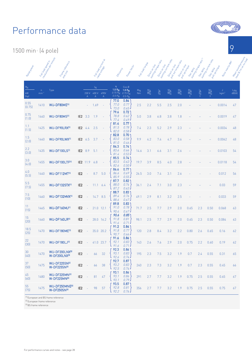1500 min-1 (4 pole)

| Ranco portes                            | Full load speeding      | revolutions per minute<br>Frame release<br>and sixe     |                 |                 |                                         | Full load Currence<br>Taleo Lough | Efficiency                                         | Pour factor                                                         | Full load to pue | Direct on line    | starting to que ratio<br>Direct on line | staring current ratio<br>Direct on line | pull out torpie ratio<br>Direct on line | pull up done<br>Star oeux | Liarting to gue ation<br>Slanderda  | Starting Current atto<br>Star oeux | Rotoringministry<br>pull yp to gue | Mean solution of<br>level a 1 m on normal |
|-----------------------------------------|-------------------------|---------------------------------------------------------|-----------------|-----------------|-----------------------------------------|-----------------------------------|----------------------------------------------------|---------------------------------------------------------------------|------------------|-------------------|-----------------------------------------|-----------------------------------------|-----------------------------------------|---------------------------|-------------------------------------|------------------------------------|------------------------------------|-------------------------------------------|
| $\mathsf{P}_{\mathsf{N}}$<br>kW<br>[hp] | $\mathsf{n}$<br>$min-1$ | Type                                                    |                 | 230 V<br>A      | <sup>I</sup> N<br>400 V<br>$\mathsf{A}$ | 690V<br>$\mathsf A$               | η<br>1.0 $P_N$<br>0.75 $P_N$<br>0.5 P <sub>N</sub> | $Cos \varnothing$<br>1.0 $\frac{1}{P_N}$<br>0.75 $P_N$<br>$0.5 P_N$ | $M_N$<br>Nm      | $\frac{M_A}{M_N}$ | $\frac{I_A}{I_N}$                       | $\frac{M_K}{M_N}$                       | $\frac{M_S}{M_N}$                       | $\frac{M_A}{M_N}$         | $\frac{ \mathbf{A} }{ \mathbf{A} }$ | $\frac{M_S}{M_N}$                  | J<br>kgm <sup>2</sup>              | $L_{PA}$<br>dB(A)                         |
| 0.55<br>(0.75)                          | 1410                    | WU-DF80ME <sup>(1)</sup>                                |                 |                 | 1.69                                    |                                   | 77.0<br>77.0<br>73.0                               | 0.84<br>0.77<br>0.65                                                | 2.5              | 2.2               | 5.5                                     | 2.5                                     | 2.0                                     |                           |                                     |                                    | 0.0014                             | 47                                        |
| 0.75<br>(1.0)                           | 1440                    | WU-DF80MS <sup>(1)</sup>                                | IE <sub>2</sub> | 3.3             | 1.9                                     |                                   | 79.6<br>78.8<br>77.4                               | 0.72<br>0.62<br>0.49                                                | 5.0              | 3.8               | 6.8                                     | 3.8                                     | 1.8                                     |                           |                                     |                                    | 0.0019                             | 47                                        |
| 1.1<br>(1.5)                            | 1425                    | WU-DF90LRX <sup>(1)</sup>                               | IE <sub>2</sub> | 4.4             | 2.5                                     |                                   | 81.4<br>81.5<br>82.0                               | 0.77<br>0.78<br>0.58                                                | 7.4              | 2.3               | 5.2                                     | 2.9                                     | 2.3                                     |                           |                                     |                                    | 0.0034                             | 48                                        |
| 1.5<br>(2.0)                            | 1440                    | WU-DF90LWX <sup>(1)</sup>                               | IE <sub>2</sub> | 6.5             | 3.7                                     |                                   | 82.8<br>83.0<br>81.0                               | 0.70<br>0.58<br>0.46                                                | 9.9              | 4.2               | 7.4                                     | 4.7                                     | 3.6                                     |                           |                                     |                                    | 0.0042                             | 48                                        |
| 2.2<br>(3.0)                            | 1435                    | <b>WU-DF100LS[1]</b>                                    | IE <sub>2</sub> | 8.9             | 5.1                                     |                                   | 84.3<br>83.6<br>81.4                               | 0.74<br>0.66<br>0.53                                                | 14.6             | 3.1               | 6.6                                     | 3.1                                     | 2.6                                     |                           |                                     |                                    | 0.0103                             | 54                                        |
| 3.0<br>(4.0)                            | 1455                    | <b>WU-DF100LTF(1)</b>                                   |                 | <b>IE2</b> 11.9 | 6.8                                     |                                   | 85.5<br>83.5<br>82.6                               | 0.74<br>0.63<br>0.50                                                | 19.7             | 3.9               | 8.5                                     | 4.0                                     | 2.8                                     |                           |                                     |                                    | 0.0118                             | 54                                        |
| 4.0<br>(5.5)                            | 1440                    | WU-DF112MT <sup>(1)</sup>                               | IE <sub>2</sub> |                 | 8.7                                     | 5.0                               | 86.6<br>86.6<br>85.9                               | 0.77<br>0.69<br>0.55                                                | 26.5             | 3.0               | 7.4                                     | 3.1                                     | 2.6                                     |                           |                                     |                                    | 0.012                              | 56                                        |
| 5.5<br>(7.5)                            | 1455                    | <b>WU-DF132STX(1)</b>                                   | IE <sub>2</sub> |                 | 11.1                                    | 6.4                               | 87.7<br>88.0<br>87.2                               | 0.82<br>0.74<br>0.63                                                | 36.1             | 2.4               | 7.1                                     | 3.0                                     | 2.3                                     |                           |                                     |                                    | 0.03                               | 59                                        |
| 7.5<br>(10)                             | 1460                    | <b>WU-DF132MVX(1)</b>                                   | IE <sub>2</sub> |                 | 14.7                                    | 8.5                               | 88.7<br>89.4<br>88.6                               | 0.83<br>0.76<br>0.67                                                | 49.1             | 2.9               | 8.1                                     | 3.2                                     | 2.5                                     |                           |                                     |                                    | 0.033                              | 59                                        |
| 11<br>(15)                              | 1465                    | <b>WU-DF160MJ(1)</b>                                    | IE <sub>2</sub> |                 |                                         | 21.0 12.1                         | 89.8<br>91.0<br>90.4                               | 0.83<br>0.78<br>0.67                                                | 71.7             | 2.5               | 7.7                                     | 2.9                                     | 2.0                                     | 0.65                      | 2.3                                 | 0.50                               | 0.068                              | 63                                        |
| 15<br>(20)                              | 1460                    | WU-DF160LR <sup>[1]</sup>                               | IE <sub>2</sub> |                 | 28.0                                    | 16.2                              | 90.6<br>91.8<br>91.6                               | 0.85<br>0.81<br>0.71                                                | 98.1             | 2.5               | 7.7                                     | 2.9                                     | 2.0                                     | 0.65                      | 2.3                                 | 0.50                               | 0.084                              | 63                                        |
| 18.5<br>(25)                            | 1470                    | <b>WU-DF180ME<sup>(1)</sup></b>                         | IE <sub>2</sub> |                 |                                         | 35.0 20.2                         | 91.2<br>91.8<br>90.7                               | 0.84<br>0.77<br>0.66                                                | 120              | 2.8               | 8.4                                     | 3.2                                     | 2.2                                     | 0.80                      | 2.6                                 | 0.65                               | 0.16                               | 62                                        |
| 22<br>(30)                              | 1470                    | <b>WU-DF180LJ(1)</b>                                    | IE <sub>2</sub> |                 |                                         | 41.0 23.7                         | 91.6<br>92.1<br>91.6                               | 0.86<br>0.83<br>0.71                                                | 143              | 2.6               | 7.6                                     | 2.9                                     | 2.0                                     | 0.75                      | 2.2                                 | 0.60                               | 0.19                               | 62                                        |
| 30<br>(40)                              | 1470                    | WU-DF200LNX <sup>[2]</sup><br>W-DF200LNX <sup>[3]</sup> | IE <sub>2</sub> |                 | 66                                      | 32                                | 92.3<br>93.1<br>92.6                               | 0.86<br>0.83<br>0.74                                                | 195              | 2.3               | 7.5                                     | 3.2                                     | 1.9                                     | 0.7                       | 2.4                                 | 0.55                               | 0.31                               | 65                                        |
| 37<br>(50)                              | 1475                    | <b>WU-DF225SN(2)</b><br><b>W-DF225SN(3)</b>             | IE <sub>2</sub> | $\sim$          | 66                                      | 38                                | 92.7<br>93.2<br>92.5                               | 0.87<br>0.83<br>0.74                                                | 240              | 2.3               | 7.3                                     | 3.2                                     | 1.9                                     | 0.7                       | 2.3                                 | 0.55                               | 0.45                               | 66                                        |
| 45<br>(60)                              | 1480                    | WU-DF225MN <sup>[2]</sup><br>W-DF225MN(3)               | IE <sub>2</sub> | $\sim$          | 81                                      | 47                                | 93.1<br>93.1<br>93.1                               | 0.86<br>0.86<br>0.79                                                | 291              | 2.7               | 7.7                                     | 3.2                                     | 1.9                                     | 0.75                      | 2.5                                 | 0.55                               | 0.65                               | 67                                        |
| 55<br>(75)                              | 1475                    | WU-DF250MNE <sup>[2]</sup><br><b>W-DF250SN(3)</b>       | IE <sub>2</sub> | $\sim$          | 98                                      | 57                                | 93.5<br>92.8<br>92.2                               | 0.87<br>0.81<br>0.76                                                | 356              | 2.7               | 7.7                                     | 3.2                                     | 1.9                                     | 0.75                      | 2.5                                 | 0.55                               | 0.75                               | 67                                        |

(1) European and BS frame reference

<sup>(2)</sup> European frame reference

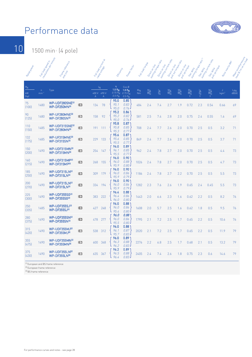

10 1500 min-1 (4 pole)

| Rategrowth                              | Full load speed in        | revolutions permitting<br>Frame release.<br>and street   |                 | Full load Current ex<br>rated Mage                            | Efficiency                                                                | Pour Technico                                          | Full laad to go | Oirecton line     | starting to que ratio<br>Oirect on tripe | Starting Current ratio<br>Oirect on tripe | pull out to appear ato<br>Oirecton Une | pull up done<br>Star oeus | Starting to Pute Phic II.<br>Star delta | Starting Current Pata<br>pullus bonde<br>Star oeux | Rooringstria William   | Mean sound processing<br>level a 1 m on notice |
|-----------------------------------------|---------------------------|----------------------------------------------------------|-----------------|---------------------------------------------------------------|---------------------------------------------------------------------------|--------------------------------------------------------|-----------------|-------------------|------------------------------------------|-------------------------------------------|----------------------------------------|---------------------------|-----------------------------------------|----------------------------------------------------|------------------------|------------------------------------------------|
| $\mathsf{P}_{\mathsf{N}}$<br>kW<br>[hp] | $\overline{D}$<br>$min-1$ | Type                                                     |                 | $\mathsf{I}_{\mathsf{N}}$<br>400 V 690 V<br>A<br>$\mathsf{A}$ | $\eta$<br>1.0 P <sub>N</sub><br>0.75 P <sub>N</sub><br>0.5 P <sub>N</sub> | Cos Ø<br>1.0 P <sub>N</sub><br>$0.75 P_N$<br>$0.5 P_N$ | $M_N$<br>Nm     | $\frac{M_A}{M_N}$ | $\frac{1_A}{N}$                          | $\frac{M_K}{M_N}$                         | $\frac{M_S}{M_N}$                      | $\frac{M_A}{M_N}$         | $\frac{1_A}{N}$                         | $\frac{M_S}{M_N}$                                  | J.<br>kgm <sup>2</sup> | $L_{\text{PA}}$<br>dB(A)                       |
| 75<br>(100)                             | 1480                      | WP-UDF280SNE <sup>[2]</sup><br>WP-DF250MN <sup>(3)</sup> | IE <sub>3</sub> | 78<br>134                                                     | 95.0<br>95.1<br>95.0                                                      | 0.85<br>0.83<br>0.76                                   | 484             | 2.4               | 7.4                                      | 2.7                                       | 1.9                                    | 0.72                      | 2.3                                     | 0.54                                               | 0.66                   | 69                                             |
| 90<br>(125)                             | 1480                      | WP-UF280MNE <sup>(2)</sup><br>WP-DF280SN <sup>(3)</sup>  | IE <sub>3</sub> | 158<br>92                                                     | 95.2<br>95.2<br>95.0                                                      | 0.86<br>0.82<br>$0.76 \cdot$                           | 581             | 2.5               | 7.4                                      | 2.8                                       | 2.0                                    | 0.75                      | 2.4                                     | 0.55                                               | 1.6                    | 69                                             |
| 110<br>(150)                            | 1485                      | WP-UDF315SNE <sup>[2]</sup><br><b>WP-DF280MN(3)</b>      | IE <sub>3</sub> | 191<br>111                                                    | 95.8<br>95.8<br>95.3                                                      | 0.87<br>0.85<br>0.77.                                  | 708             | 2.4               | 7.7                                      | 2.6                                       | 2.0                                    | 0.70                      | 2.5                                     | 0.5                                                | 3.2                    | 71                                             |
| 132<br>(175)                            | 1485                      | WP-UF315MNE <sup>(2)</sup><br>WP-DF315SN(3)              | IE <sub>3</sub> | 133<br>229                                                    | 95.6<br>95.6<br>95.5                                                      | 0.87<br>0.85<br>0.77.                                  | 849             | 2.4               | 7.7                                      | 2.6                                       | 2.0                                    | 0.70                      | 2.5                                     | 0.5                                                | 3.7                    | 71                                             |
| 150<br>[200]                            | 1490                      | WP-UDF315MN <sup>(2)</sup><br>WP-DF315MN <sup>(3)</sup>  | IE <sub>3</sub> | 254<br>147                                                    | 96.0<br>96.1<br>95.5                                                      | 0.89<br>0.85<br>0.77.                                  | 962             | 2.4               | 7.8                                      | 2.7                                       | 2.0                                    | 0.70                      | 2.5                                     | 0.5                                                | 4.4                    | 73                                             |
| 160<br>[215]                            | 1490                      | WP-UDF315MP <sup>(2)</sup><br>WP-DF315MP®                | IE <sub>3</sub> | 268<br>155                                                    | 96.0<br>96.0<br>95.9                                                      | 0.90<br>0.88<br>0.80                                   | 1026            | 2.4               | 7.8                                      | 2.7                                       | 2.0                                    | 0.70                      | 2.5                                     | 0.5                                                | 4.7                    | 73                                             |
| 185<br>(250)                            | 1490                      | WP-UDF315LN <sup>[2]</sup><br>WP-DF315LN <sup>[3]</sup>  | IE <sub>3</sub> | 179<br>309                                                    | 96.0<br>96.0<br>95.9                                                      | 0.90<br>0.86<br>0.79                                   | 1186            | 2.4               | 7.8                                      | 2.7                                       | 2.2                                    | 0.70                      | 2.5                                     | 0.5                                                | 5.5                    | 73                                             |
| 200<br>[270]                            | 1490                      | WP-UDF315LN <sup>[2]</sup><br>WP-DF315LN <sup>[3]</sup>  | IE <sub>3</sub> | 194<br>334                                                    | 96.0<br>96.0<br>95.9                                                      | 0.90<br>0.86<br>0.79                                   | 1282            | 2.3               | 7.6                                      | 2.6                                       | 1.9                                    | 0.65                      | 2.4                                     | 0.45                                               | 5.5                    | 73                                             |
| 225<br>(300)                            | 1490                      | WP-UDF355SG <sup>(2)</sup><br>WP-DF355SG <sup>(3)</sup>  | IE <sub>3</sub> | 222<br>383                                                    | 96.4<br>96.4<br>96.0                                                      | 0.88<br>0.86<br>0.80                                   | 1443            | 2.0               | 6.6                                      | 2.3                                       | 1.6                                    | 0.62                      | 2.2                                     | 0.5                                                | 8.2                    | 76                                             |
| 250<br>[335]                            | 1485                      | WP-UDF355SJ <sup>(2)</sup><br><b>WP-DF355SJ®</b>         | IE <sub>3</sub> | 248<br>427                                                    | 96.0<br>96.0<br>95.4                                                      | 0.88<br>0.86<br>0.80                                   | 1608            | 2.0               | 5.7                                      | 2.5                                       | 1.6                                    | 0.62                      | 1.8                                     | 0.5                                                | 9.5                    | 76                                             |
| 280<br>(375)                            | 1490                      | WP-UDF355SN <sup>(2)</sup><br>WP-DF355SN <sup>(3)</sup>  | IE <sub>3</sub> | 478<br>277                                                    | 96.0<br>96.0<br>95.5                                                      | 0.88<br>0.86<br>0.80                                   | 1795            | 2.1               | 7.2                                      | 2.5                                       | 1.7                                    | 0.65                      | 2.2                                     | 0.5                                                | 10.6                   | 76                                             |
| 315<br>(420)                            | 1490                      | WP-UDF355MJ <sup>[2]</sup><br><b>WP-DF355MJ3</b>         | IE <sub>3</sub> | 312<br>538                                                    | 96.0<br>96.1<br>95.7                                                      | 0.88<br>0.87<br>0.83.                                  | 2020            | 2.1               | 7.2                                      | 2.5                                       | 1.7                                    | 0.65                      | 2.2                                     | 0.5                                                | 11.9                   | 79                                             |
| 355<br>(475)                            | 1490                      | WP-UDF355MN <sup>(2)</sup><br>WP-DF355MN <sup>(3)</sup>  | IE <sub>3</sub> | 348<br>600                                                    | 96.0<br>96.3<br>96.2                                                      | 0.89<br>0.88<br>0.83.                                  | 2276            | 2.2               | 6.8                                      | 2.5                                       | 1.7                                    | 0.68                      | 2.1                                     | 0.5                                                | 13.2                   | 79                                             |
| 375<br>(430)                            | 1490                      | WP-UDF355LN <sup>[2]</sup><br>WP-DF355LN <sup>(3)</sup>  | IE <sub>3</sub> | 367<br>635                                                    | 96.2<br>96.5<br>96.4                                                      | 0.89<br>0.88<br>0.83.                                  | 2405            | 2.4               | 7.4                                      | 2.6                                       | 1.8                                    | 0.75                      | 2.3                                     | 0.6                                                | 14.6                   | 79                                             |

(1) European and BS frame reference

(2) European frame reference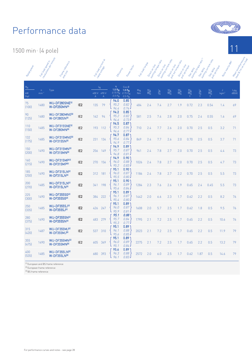1500 min-1 (4 pole)

| Rategrowthen                  | Full logg speed in               | revolutions permittue<br>Frame release<br>and sixe     |                 | Full load Currence<br>rated Maxie                             | Efficiency                                                       | Pour Textor                                            | Full laage of public | Direct on line    | starting to que ratio<br>Oriect on tripe | Starting Current Cats<br>Direct on line | pull out to appeal ato<br>Direct on line | pull up done      | A Serfoute<br>Antinglone<br>Alemany Sonce | Starting Current attack<br>pull up to pue<br>Star oeux | Rolaring Maps          | Mean sound processing<br>. level a 1 m on m sec |
|-------------------------------|----------------------------------|--------------------------------------------------------|-----------------|---------------------------------------------------------------|------------------------------------------------------------------|--------------------------------------------------------|----------------------|-------------------|------------------------------------------|-----------------------------------------|------------------------------------------|-------------------|-------------------------------------------|--------------------------------------------------------|------------------------|-------------------------------------------------|
| $\frac{P_N}{P}$<br>kW<br>(hp) | $\mathsf{n}$<br>min <sup>-</sup> | Type                                                   |                 | <sup>I</sup> N<br>400 V 690 V<br>$\mathsf{A}$<br>$\mathsf{A}$ | $\eta$<br>1.0 P <sub>N</sub><br>$0.75 P_N$<br>0.5 P <sub>N</sub> | Cos Ø<br>1.0 P <sub>N</sub><br>$0.75 P_N$<br>$0.5 P_N$ | $M_N$<br><b>Nm</b>   | $\frac{M_A}{M_N}$ | $\frac{I_A}{I_N}$                        | $\frac{M_K}{M_N}$                       | $\frac{M_S}{M_N}$                        | $\frac{M_A}{M_N}$ | $\frac{1_A}{N}$                           | $\frac{M_S}{M_N}$                                      | J.<br>kgm <sup>2</sup> | $L_{\text{PA}}$<br>dB(A)                        |
| $75\,$<br>(100)               | 1480                             | WU-DF280SNE <sup>(2)</sup><br>W-DF250MN(3)             | IE <sub>2</sub> | 79<br>135                                                     | 94.0<br>95.2<br>94.4                                             | 0.85<br>0.82<br>0.74.                                  | 484                  | 2.4               | 7.4                                      | 2.7                                     | 1.9                                      | 0.72              | 2.3                                       | 0.54                                                   | 1.4                    | 69                                              |
| 90<br>(125)                   | 1480                             | WU-DF280MNE <sup>[2]</sup><br>W-DF280SN(3)             | IE <sub>2</sub> | 162<br>94                                                     | 94.2<br>95.2<br>94.6                                             | 0.85<br>0.82<br>$0.73 -$                               | 581                  | 2.5               | 7.4                                      | 2.8                                     | 2.0                                      | 0.75              | 2.4                                       | 0.55                                                   | 1.6                    | 69                                              |
| 110<br>(150)                  | 1485                             | WU-DF315SNE <sup>[2]</sup><br>W-DF280MN(3)             | IE <sub>2</sub> | 193<br>112                                                    | 94.5<br>95.3<br>94.6                                             | 0.87<br>0.84<br>0.77.                                  | 710                  | 2.4               | 7.7                                      | 2.6                                     | 2.0                                      | 0.70              | 2.5                                       | 0.5                                                    | 3.2                    | 71                                              |
| 132<br>(175)                  | 1485                             | WU-DF315MNE <sup>[2]</sup><br>W-DF315SN(3)             | IE <sub>2</sub> | 134<br>231                                                    | 94.7<br>95.6<br>94.9                                             | 0.87<br>0.84<br>0.77.                                  | 849                  | 2.4               | 7.7                                      | 2.6                                     | 2.0                                      | 0.70              | 2.5                                       | 0.5                                                    | 3.7                    | 71                                              |
| 150<br>(200)                  | 1490                             | WU-DF315MN <sup>(2)</sup><br>W-DF315MN(3)              | IE <sub>2</sub> | 149<br>256                                                    | 94.9<br>95.7<br>94.8                                             | 0.89<br>0.87<br>0.81                                   | 961                  | 2.4               | 7.8                                      | 2.7                                     | 2.0                                      | 0.70              | 2.5                                       | 0.5                                                    | 4.4                    | 73                                              |
| 160<br>[215]                  | 1490                             | WU-DF315MP <sup>(2)</sup><br>W-DF315MP®                | IE <sub>2</sub> | 270<br>156                                                    | 94.9<br>96.0<br>95.2                                             | 0.90<br>0.88<br>0.83.                                  | 1026                 | 2.4               | 7.8                                      | 2.7                                     | 2.0                                      | 0.70              | 2.5                                       | 0.5                                                    | 4.7                    | 73                                              |
| 185<br>(250)                  | 1490                             | WU-DF315LN <sup>(2)</sup><br>W-DF315LN <sup>(3)</sup>  | IE <sub>2</sub> | 312<br>181                                                    | 95.1<br>96.0<br>95.5                                             | 0.90<br>0.87<br>0.80.                                  | 1186                 | 2.4               | 7.8                                      | 2.7                                     | 2.2                                      | 0.70              | 2.5                                       | 0.5                                                    | 5.5                    | 73                                              |
| 200<br>[270]                  | 1485                             | WU-DF315LN <sup>(2)</sup><br>W-DF315LN <sup>(3)</sup>  | IE <sub>2</sub> | 198<br>341                                                    | 95.1<br>96.1<br>95.6                                             | 0.90<br>0.89<br>0.84                                   | 1284                 | 2.3               | 7.6                                      | 2.6                                     | 1.9                                      | 0.65              | 2.4                                       | 0.45                                                   | 5.5                    | 73                                              |
| 225<br>(300)                  | 1490                             | <b>WU-DF355SG<sup>(2)</sup></b><br><b>W-DF355SG(3)</b> | IE <sub>2</sub> | 384<br>222                                                    | 95.1<br>96.1<br>95.4                                             | 0.89<br>0.87<br>0.80.                                  | 1442                 | 2.0               | 6.6                                      | 2.3                                     | 1.7                                      | 0.62              | 2.2                                       | 0.5                                                    | 8.2                    | 76                                              |
| 250<br>[335]                  | 1485                             | <b>WU-DF355SJ<sup>(2)</sup></b><br>W-DF355SJ(3)        | IE <sub>2</sub> | 426<br>247                                                    | 95.1<br>96.0<br>95.9                                             | 0.89<br>0.87<br>0.81.                                  | 1608                 | 2.0               | 5.7                                      | 2.5                                     | 1.7                                      | 0.62              | 1.8                                       | 0.5                                                    | 9.5                    | 76                                              |
| 280<br>(375)                  | 1490                             | WU-DF355SN <sup>(2)</sup><br><b>W-DF355SN(3)</b>       | IE <sub>2</sub> | 483<br>279                                                    | 95.1<br>95.7<br>95.3                                             | 0.88<br>0.84<br>0.77.                                  | 1795                 | 2.1               | 7.2                                      | 2.5                                     | 1.7                                      | 0.65              | 2.2                                       | 0.5                                                    | 10.6                   | 76                                              |
| 315<br>(420)                  | 1487                             | <b>WU-DF355MJ<sup>(2)</sup></b><br>W-DF355MJ(3)        | IE <sub>2</sub> | 310<br>537                                                    | 95.1<br>96.1<br>95.6                                             | 0.89<br>0.88<br>0.85                                   | 2023                 | 2.1               | 7.2                                      | 2.5                                     | 1.7                                      | 0.65              | 2.2                                       | 0.5                                                    | 11.9                   | 79                                              |
| 355<br>(475)                  | 1490                             | WU-DF355MN <sup>[2]</sup><br>W-DF355MN(3)              | IE <sub>2</sub> | 349<br>605                                                    | 95.1<br>96.0<br>95.1                                             | 0.89<br>0.89<br>0.84                                   | 2275                 | 2.1               | 7.2                                      | 2.5                                     | 1.7                                      | 0.65              | 2.2                                       | 0.5                                                    | 13.2                   | 79                                              |
| 400<br>[535]                  | 1485                             | WU-DF355LN <sup>(2)</sup><br>W-DF355LN(3)              |                 | 393<br>680                                                    | 95.6<br>96.3<br>96.1                                             | 0.89<br>0.88<br>0.83.                                  | 2572                 | 2.0               | 6.0                                      | 2.5                                     | 1.7                                      | 0.62              | 1.87                                      | 0.5                                                    | 14.6                   | 79                                              |

(1) European and BS frame reference

(2) European frame reference

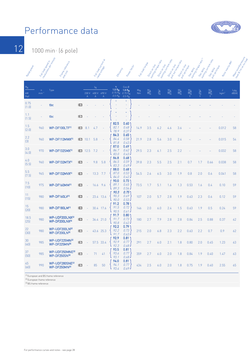

12 1000 min-1 (6 pole)

| Rated Pour                    | Full load speeding      | revolutions permitting<br>Frame relation<br>and sixe      |                 |                      |                                    | Full loago Current ex<br>rated Mage | Efficiency                                          | Pour lactor                                                      | Full load to pue   | Direct on Line    | starting to que ratio<br>Director Une | - Starting current ratio<br>Direct on line | Pull out to appear atto<br>Direct on tripe<br>pull up done | Startedia<br>Starting borner | <b>Pation</b><br>Star oeux          | Adriting Current attack<br>pull up to pulled<br>Star oeux | Rolpringentia WH2     | Mean sound passing<br>level B1m on ms. |
|-------------------------------|-------------------------|-----------------------------------------------------------|-----------------|----------------------|------------------------------------|-------------------------------------|-----------------------------------------------------|------------------------------------------------------------------|--------------------|-------------------|---------------------------------------|--------------------------------------------|------------------------------------------------------------|------------------------------|-------------------------------------|-----------------------------------------------------------|-----------------------|----------------------------------------|
| $\frac{P_N}{P}$<br>kW<br>[hp] | $\mathsf{n}$<br>$min-1$ | Type                                                      |                 | 230 V<br>$\mathsf A$ | <sup>I</sup> N<br>400 V 690 V<br>A | $\mathsf{A}$                        | η<br>1.0 P <sub>N</sub><br>$0.75 P_N$<br>$0.5 P_N'$ | $Cos \emptyset$<br>1.0 P <sub>N</sub><br>$0.75 P_N$<br>$0.5 P_N$ | $M_N$<br><b>Nm</b> | $\frac{M_A}{M_N}$ | $\frac{I_A}{I_N}$                     | $\frac{M_K}{M_N}$                          | $\frac{M_S}{M_N}$                                          | $\frac{M_A}{M_N}$            | $\frac{ \mathbf{A} }{ \mathbf{A} }$ | $\frac{M_S}{M_N}$                                         | J<br>kgm <sup>2</sup> | $L_{PA}$<br>dB(A)                      |
| 0.75<br>(1.0)                 |                         | tbc                                                       | IE <sub>3</sub> |                      |                                    |                                     |                                                     | ٠                                                                |                    |                   |                                       |                                            |                                                            |                              |                                     |                                                           |                       |                                        |
| 1.1<br>(1.5)                  |                         | tbc                                                       | IE <sub>3</sub> |                      |                                    |                                     |                                                     | ÷                                                                |                    |                   |                                       |                                            |                                                            |                              |                                     |                                                           |                       |                                        |
| 1.5<br>(2.0)                  | 960                     | WP-DF100LTF <sup>(1)</sup>                                | IE3             | 8.1                  | 4.7                                |                                     | 82.5<br>82.1<br>78.9                                | 0.60<br>0.48<br>0.37                                             | 14.9               | 3.5               | 6.2                                   | 4.6                                        | 3.6                                                        |                              |                                     |                                                           | 0.012                 | 58                                     |
| 2.2<br>$[3]$                  | 960                     | WP-DF112MWX <sup>(1)</sup>                                | IE <sub>3</sub> | 10.1                 | 5.8                                |                                     | 84.3<br>84.4<br>81.8                                | 0.65<br>0.58<br>0.43.                                            | 21.9               | 2.8               | 5.6                                   | 3.0                                        | 2.4                                                        |                              |                                     |                                                           | 0.015                 | 54                                     |
| 3.0<br>(4.0)                  | 970                     | WP-DF132SMX <sup>(1)</sup>                                | IE <sub>3</sub> | 12.5                 | 7.2                                |                                     | 87.0<br>86.7<br>83.0                                | 0.69<br>0.62<br>0.43                                             | 29.5               | 2.3               | 6.1                                   | 2.5                                        | 2.2                                                        |                              |                                     |                                                           | 0.032                 | 58                                     |
| 4.0<br>(5.5)                  | 960                     | WP-DF132MTX <sup>(1)</sup>                                | IE <sub>3</sub> |                      | 9.8                                | 5.8                                 | 86.8<br>86.5<br>83.3                                | 0.68<br>0.59<br>0.49                                             | 39.8               | 2.3               | 5.5                                   | 2.5                                        | 2.1                                                        | 0.7                          | 1.7                                 | 0.66                                                      | 0.038                 | 58                                     |
| 5.5<br>(7.5)                  | 965                     | WP-DF132MVX <sup>(1)</sup>                                | IE <sub>3</sub> |                      | 13.3                               | 7.7                                 | 88.0<br>87.0<br>84.0                                | 0.68<br>0.53<br>0.42.                                            | 54.5               | 2.6               | 6.5                                   | 3.0                                        | 1.9                                                        | 0.8                          | 2.0                                 | 0.6                                                       | 0.041                 | 58                                     |
| 7.5<br>(10)                   | 975                     | <b>WP-DF160MM(1)</b>                                      | IE <sub>3</sub> |                      | 16.6                               | 9.6                                 | 90.0<br>89.1<br>89.3                                | 0.73<br>0.65<br>0.56                                             | 73.5               | 1.7               | 5.1                                   | 1.6                                        | 1.3                                                        | 0.53                         | 1.6                                 | 0.4                                                       | 0.10                  | 59                                     |
| 11<br>(15)                    | 980                     | <b>WP-DF160LV<sup>(1)</sup></b>                           | IE <sub>3</sub> |                      | 23.4                               | 13.6                                | 90.3<br>90.3<br>90.0                                | 0.75<br>0.69<br>0.53                                             | 107                | 2.0               | 5.7                                   | 2.8                                        | 1.9                                                        | 0.63                         | 2.3                                 | 0.6                                                       | 0.12                  | 59                                     |
| 15<br>(20)                    | 980                     | <b>WP-DF180LM(1)</b>                                      | IE <sub>3</sub> |                      | 30.4                               | 17.6                                | 91.2<br>91.5<br>90.5                                | 0.78<br>0.72<br>0.61                                             | 146                | 2.0               | 6.0                                   | 2.4                                        | 1.5                                                        | 0.63                         | 1.9                                 | 0.5                                                       | 0.24                  | 59                                     |
| 18.5<br>(25)                  | 980                     | WP-UDF200LNX <sup>(2)</sup><br>WP-DF200LNX <sup>(3)</sup> | IE <sub>3</sub> |                      | 36.4                               | 21.0                                | 91.7<br>91.7<br>90.8                                | 0.80<br>0.73<br>0.62                                             | 180                | 2.7               | 7.9                                   | 2.8                                        | 2.8                                                        | 0.84                         | 2.5                                 | 0.88                                                      | 0.37                  | 62                                     |
| 22<br>(30)                    | 980                     | WP-UDF200LN <sup>[2]</sup><br>WP-DF200LN <sup>[3]</sup>   | IE <sub>3</sub> |                      | 43.6                               | 25.3                                | 92.2<br>92.2<br>91.7                                | 0.79'<br>0.73<br>$0.63 -$                                        | 215                | 2.0               | 6.8                                   | 2.3                                        | 2.2                                                        | 0.63                         | 2.2                                 | 0.7                                                       | 0.9                   | 62                                     |
| 30<br>$[40]$                  | 985                     | WP-UDF225MN <sup>(2)</sup><br>WP-DF225MN(3)               | IE <sub>3</sub> |                      | 57.5                               | 33.4                                | 92.9<br>92.9<br>92.3                                | 0.81<br>0.77<br>$0.68 -$                                         | 291                | 2.7               | 6.0                                   | 2.1                                        | 1.8                                                        | 0.80                         | 2.0                                 | 0.45                                                      | 1.23                  | 63                                     |
| 37<br>(50)                    | 985                     | WP-UDF250MNE <sup>(2)</sup><br>WP-DF250SN(3)              | IE <sub>3</sub> |                      | 71                                 | 41                                  | 93.5<br>93.6<br>93.1                                | 0.81<br>0.77<br>$0.68 -$                                         | 359                | 2.7               | 6.0                                   | 2.0                                        | 1.8                                                        | 0.84                         | 1.9                                 | 0.40                                                      | 1.47                  | 63                                     |
| 45<br>(60)                    | 990                     | WP-UDF280SNE <sup>[2]</sup><br>WP-DF250MN(3)              | IE <sub>3</sub> |                      | 85                                 | 50                                  | 94.0<br>94.1<br>93.4                                | 0.81<br>0.77<br>$0.69 -$                                         | 434                | 2.5               | 6.0                                   | 2.0                                        | 1.8                                                        | 0.75                         | 1.9                                 | 0.40                                                      | 2.55                  | 65                                     |

(1) European and BS frame reference

<sup>(2)</sup> European frame reference <sup>(3)</sup> BS frame reference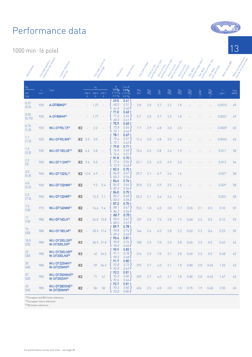1000 min-1 (6 pole)

| Rategootter                                                                                                                                                                                                                        |                         | Lull logd speeding<br>Frame release.<br>and sixe        |                 |            |                                    | Full load Currence<br>rated rollage | Efficiency                                         | Pour factor                                                     | Full laad to go    | Direct on line    | starting to que ratio<br>Direct on line | staring current ratio<br>Direct on line | pull out torpic allow<br>Direct on line<br>pull yp don | Star oeux         | Liarting to gue ation<br>Star oeux | Starting Current attack<br>Star oeux | Rotoringministry<br>pull up to que | Mean sound processing<br>level a 1 m on rosen |
|------------------------------------------------------------------------------------------------------------------------------------------------------------------------------------------------------------------------------------|-------------------------|---------------------------------------------------------|-----------------|------------|------------------------------------|-------------------------------------|----------------------------------------------------|-----------------------------------------------------------------|--------------------|-------------------|-----------------------------------------|-----------------------------------------|--------------------------------------------------------|-------------------|------------------------------------|--------------------------------------|------------------------------------|-----------------------------------------------|
| $P_N$<br>$\mathsf{k}\mathsf{W}$<br>[hp]                                                                                                                                                                                            | $\mathsf{n}$<br>$min-1$ | Type                                                    |                 | 230 V<br>А | <sup>I</sup> N<br>400 V 690 V<br>А | $\mathsf{A}$                        | η<br>1.0 P <sub>N</sub><br>$0.75 P_N$<br>0.5 $P_N$ | Cos Ø<br>1.0 P <sub>N</sub><br>$0.75 P_N$<br>0.5 P <sub>N</sub> | $M_N$<br><b>Nm</b> | $\frac{M_A}{M_N}$ | $\frac{1_A}{1_N}$                       | $\frac{M_K}{M_N}$                       | $\frac{M_S}{M_N}$                                      | $\frac{M_A}{M_N}$ | $\frac{I_A}{I_N}$                  | $\frac{M_S}{M_N}$                    | J<br>kgm <sup>2</sup>              | $L_{PA}$<br>dB(A)                             |
| 0.37<br>(0.5)                                                                                                                                                                                                                      | 920                     | A-DF80MG <sup>(1)</sup>                                 |                 |            | 1.27                               |                                     | 69.0<br>68.0<br>64.0                               | 0.61<br>0.51<br>0.40                                            | 3.8                | 2.0               | 3.7                                     | 2.2                                     | 1.8                                                    |                   |                                    |                                      | 0.0015                             | 49                                            |
| 0.55<br>(0.75)                                                                                                                                                                                                                     | 920                     | A-DF80MM <sup>(1)</sup>                                 |                 |            | 1.77                               |                                     | 71.0<br>71.0<br>68.0                               | 0.63<br>0.54<br>0.41                                            | 5.7                | 2.0               | 3.7                                     | 2.3                                     | 1.8                                                    |                   |                                    |                                      | 0.0021                             | 49                                            |
| 0.75<br>(1.0)                                                                                                                                                                                                                      | 935                     | WU-DF90LTX <sup>(1)</sup>                               | IE <sub>2</sub> |            | 2.2                                |                                     | 75.9<br>73.8<br>70.1                               | 0.65<br>0.54<br>0.44                                            | 7.7                | 2.9               | 4.8                                     | 3.0                                     | 2.5                                                    |                   |                                    |                                      | 0.0039                             | 65                                            |
| 1.1<br>(1.5)                                                                                                                                                                                                                       | 925                     | WU-DF90LWX <sup>(1)</sup>                               | IE <sub>2</sub> | 5.3        | 3.0                                |                                     | 78.1<br>75.6<br>73.1                               | 0.67<br>0.57<br>0.42                                            | 11.4               | 3.0               | 4.8                                     | 3.0                                     | 2.6                                                    |                   |                                    |                                      | 0.0043                             | 65                                            |
| 1.5<br>(2.0)                                                                                                                                                                                                                       | 930                     | WU-DF100LSF <sup>(1)</sup>                              | IE <sub>2</sub> | 6.6        | 3.8                                |                                     | 79.8<br>76.8<br>74.6                               | 0.71<br>0.68<br>0.51                                            | 15.4               | 2.2               | 5.8                                     | 2.4                                     | 1.9                                                    |                   |                                    |                                      | 0.011                              | 58                                            |
| 2.2<br>$[3] % \begin{center} \includegraphics[width=0.3\textwidth]{images/Trigersfig:2.pdf} \end{center} % \vspace*{-1em} \caption{The figure shows the number of parameters in the left and right.} \label{fig:Trigersfig:2.pdf}$ | 950                     | WU-DF112MT <sup>(1)</sup>                               | IE <sub>2</sub> | 9.6        | 5.5                                |                                     | 81.8<br>77.6<br>73.9                               | 0.70<br>0.56<br>0.45                                            | 22.1               | 2.5               | 6.5                                     | 2.9                                     | 2.0                                                    |                   |                                    |                                      | 0.012                              | 54                                            |
| 3.0<br>(4.0)                                                                                                                                                                                                                       | 965                     | <b>WU-DF132SL(1)</b>                                    | IE <sub>2</sub> | 12.0       | 6.9                                |                                     | 83.3<br>84.8<br>83.2                               | 0.75<br>0.67<br>0.54                                            | 29.7               | 2.1               | 6.7                                     | 2.6                                     | 1.6                                                    |                   |                                    |                                      | 0.027                              | 58                                            |
| 4.0<br>(5.5)                                                                                                                                                                                                                       | 960                     | <b>WU-DF132MM(1)</b>                                    | IE <sub>2</sub> |            | 9.3                                | 5.4                                 | 84.6<br>84.8<br>82.5                               | 0.74<br>0.66<br>0.54                                            | 39.8               | 2.2               | 5.9                                     | 2.5                                     | 1.6                                                    |                   |                                    |                                      | 0.029                              | 58                                            |
| 5.5<br>(7.5)                                                                                                                                                                                                                       | 950                     | <b>WU-DF132MR(1)</b>                                    | IE <sub>2</sub> |            | 12.3                               | 7.1                                 | 86.0<br>85.2<br>83.5                               | 0.75<br>0.68<br>0.55                                            | 55.3               | 2.1               | 5.6                                     | 2.4                                     | 1.6                                                    |                   |                                    |                                      | 0.032                              | 58                                            |
| 7.5<br>(10)                                                                                                                                                                                                                        | 975                     | WU-DF160MM <sup>(1)</sup>                               | IE <sub>2</sub> |            | 16.6                               | 9.6                                 | 87.2<br>88.1<br>86.2                               | 0.75<br>0.67<br>0.56                                            | 73.5               | 1.8               | 6.5                                     | 2.8                                     | 1.7                                                    | 0.55              | 2.1                                | 0.5                                  | 0.10                               | 59                                            |
| 11<br>$(15)$                                                                                                                                                                                                                       | 980                     | WU-DF160LV <sup>(1)</sup>                               | IE <sub>2</sub> |            | 24.0                               | 13.8                                | 88.7<br>90.0<br>88.5                               | 0.75<br>0.67<br>0.57.                                           | 107                | 2.0               | 7.5                                     | 2.8                                     | 1.9                                                    | 0.60              | 2.5                                | 0.5                                  | 0.12                               | 59                                            |
| 15<br>(20)                                                                                                                                                                                                                         | 980                     | <b>WU-DF180LM(1)</b>                                    | IE <sub>2</sub> |            | 30.5                               | 17.6                                | 89.7<br>90.8<br>89.6                               | 0.78<br>0.74<br>0.63                                            | 146                | 2.4               | 6.5                                     | 2.8                                     | 2.2                                                    | 0.65              | 2.2                                | 0.6                                  | 0.23                               | 59                                            |
| 18.5<br>(25)                                                                                                                                                                                                                       | 980                     | WU-DF200LGX <sup>(2)</sup><br>W-DF200LGX <sup>(3)</sup> | IE <sub>2</sub> |            |                                    | 36.5 21.0                           | 90.4<br>90.8<br>90.0                               | 0.81<br>0.76<br>$0.65 -$                                        | 180                | 2.3               | 7.0                                     | 2.0                                     | 2.8                                                    | 0.65              | 2.3                                | 0.5                                  | 0.42                               | 62                                            |
| 22<br>$[30]$                                                                                                                                                                                                                       | 980                     | WU-DF200LNX <sup>(2)</sup><br>W-DF200LNX <sup>[3]</sup> | IE <sub>2</sub> |            | 42                                 | 24.5                                | 90.9<br>91.1<br>90.5                               | 0.83<br>0.78<br>$0.68 -$                                        | 214                | 2.3               | 7.0                                     | 2.1                                     | 2.8                                                    | 0.65              | 2.3                                | 0.5                                  | 0.48                               | 62                                            |
| 30<br>(40)                                                                                                                                                                                                                         | 980                     | WU-DF225MN <sup>(2)</sup><br>W-DF225MN(3)               | IE <sub>2</sub> | $\sim$     | 59                                 | 34.2                                | 91.7<br>92.8<br>92.0                               | 0.80<br>0.73<br>0.63                                            | 292                | 2.7               | 6.0                                     | 2.1                                     | 1.8                                                    | 0.80              | 2.0                                | 0.45                                 | 1.23                               | 63                                            |
| 37<br>(50)                                                                                                                                                                                                                         | 985                     | WU-DF250MNE <sup>[2]</sup><br><b>W-DF250SN(3)</b>       | IE <sub>2</sub> | $\equiv$   | 71                                 | 41                                  | 92.2<br>93.3<br>92.6                               | 0.81<br>0.86<br>0.66                                            | 359                | 2.7               | 6.0                                     | 2.1                                     | 1.8                                                    | 0.80              | 2.0                                | 0.45                                 | 1.47                               | 63                                            |
| 45<br>(60)                                                                                                                                                                                                                         | 985                     | WU-DF280SNE <sup>[2]</sup><br>W-DF250MN <sup>[3]</sup>  | IE <sub>2</sub> | $\sim$     | 86                                 | 50                                  | 92.7<br>93.4<br>92.8                               | 0.81<br>0.82<br>0.80                                            | 436                | 2.5               | 6.0                                     | 2.0                                     | 1.8                                                    | 0.75              | 1.9                                | 0.40                                 | 2.55                               | 65                                            |

(1) European and BS frame reference

<sup>(2)</sup> European frame reference

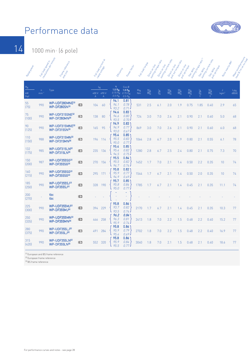

14 1000 min-1 (6 pole)

| Rategraties                   | Full loads speed in     | revolutions per minute<br>Frame release<br>and sixe           |                 | Full load Current et al.                                   | rated Mage     | Efficiency                                                       | Pour factor                                                        | Full load to pue        | Direct on line    | starting to que ratio<br>Oirect on trine | staring current ratio<br>Oirecton line | pull out torpie ratio<br>Direct on line | pull yp long<br>Slan oeu- | Taltia<br>stanting to gove<br>Star oeux | Starting Current atto<br>pullus to gue<br>Star oeux | Ropringstrig William   | Mean sound processing<br>level a 1 m on in 1819 |
|-------------------------------|-------------------------|---------------------------------------------------------------|-----------------|------------------------------------------------------------|----------------|------------------------------------------------------------------|--------------------------------------------------------------------|-------------------------|-------------------|------------------------------------------|----------------------------------------|-----------------------------------------|---------------------------|-----------------------------------------|-----------------------------------------------------|------------------------|-------------------------------------------------|
| $\frac{P_N}{P}$<br>kW<br>[hp] | $\mathsf{n}$<br>$min-1$ | Type                                                          |                 | $\mathsf{I}_{\mathsf{N}}$<br>400 V 690 V<br>$\overline{A}$ | $\overline{A}$ | $\eta$<br>1.0 P <sub>N</sub><br>$0.75 P_N$<br>0.5 P <sub>N</sub> | $Cos \varnothing$<br>1.0 P <sub>N</sub><br>$0.75 P_N$<br>$0.5 P_N$ | $M_N$<br>N <sub>m</sub> | $\frac{M_A}{M_N}$ | $\frac{I_A}{I_N}$                        | $\frac{M_K}{M_N}$                      | $\frac{M_S}{M_N}$                       | $\frac{M_A}{M_N}$         | $\frac{1_A}{1_N}$                       | $\frac{M_S}{M_N}$                                   | J.<br>kgm <sup>2</sup> | $L_{\text{PA}}$<br>dB(A)                        |
| 55<br>(75)                    | 990                     | WP-UDF280MNE <sup>[2]</sup><br>WP-DF280SN(3)                  | IE <sub>3</sub> | 104                                                        | 60             | 94.1<br>94.1<br>93.2                                             | 0.81<br>0.78<br>0.71                                               | 531                     | 2.5               | 6.1                                      | 2.0                                    | 1.9                                     | 0.75                      | 1.85                                    | 0.40                                                | 2.9                    | 65                                              |
| 75<br>(100)                   | 990                     | WP-UDF315SNE <sup>[2]</sup><br>WP-DF280MN(3)                  | IE <sub>3</sub> | 138                                                        | 80             | 94.6<br>94.6<br>93.5                                             | 0.83<br>0.80<br>0.70                                               | 724                     | 3.0               | 7.0                                      | 2.6                                    | 2.1                                     | 0.90                      | 2.1                                     | 0.60                                                | 5.0                    | 68                                              |
| 90<br>(125)                   | 990                     | WP-UDF315MNE <sup>[2]</sup><br>WP-DF315SN(3)                  | IE <sub>3</sub> | 165                                                        | 95             | 94.9<br>94.9<br>93.0                                             | 0.83<br>0.77<br>0.67                                               | 869                     | 3.0               | 7.0                                      | 2.6                                    | 2.1                                     | 0.90                      | 2.1                                     | 0.60                                                | 6.0                    | 68                                              |
| 110<br>(150)                  | 988                     | WP-UDF315MN(2)<br>WP-DF315MN(3)                               | IE <sub>3</sub> | 196                                                        | 114            | 95.4<br>95.5<br>95.0                                             | 0.85<br>0.83<br>0.77.                                              | 1064                    | 2.8               | 6.7                                      | 2.0                                    | 1.9                                     | 0.80                      | 2.1                                     | 0.55                                                | 6.1                    | 78                                              |
| 132<br>(175)                  | 985                     | WP-UDF315LN <sup>(2)</sup><br>WP-DF315LN(3)                   | IE <sub>3</sub> | 235                                                        | 136            | 95.4<br>95.4<br>94.5                                             | 0.85<br>0.82<br>0.75                                               | 1280                    | 2.8               | 6.7                                      | 2.5                                    | 2.4                                     | 0.80                      | 2.1                                     | 0.75                                                | 7.3                    | 70                                              |
| 150<br>(200)                  | 987                     | WP-UDF355SG <sup>(2)</sup><br><b>WP-DF355SG(3)</b>            | IE <sub>3</sub> | 270                                                        | 156            | 95.5<br>95.5<br>94.7                                             | 0.84<br>0.82<br>0.74.                                              | 1452                    | 1.7               | 7.0                                      | 2.1                                    | 1.4                                     | 0.50                      | 2.2                                     | 0.35                                                | 10                     | 74                                              |
| 160<br>[215]                  | 990                     | WP-UDF355SG <sup>(2)</sup><br>WP-DF355SG(3)                   | IE <sub>3</sub> | 295                                                        | 171            | 95.8<br>95.9<br>94.9                                             | 0.82<br>0.77<br>0.69                                               | 1544                    | 1.7               | 6.7                                      | 2.1                                    | 1.4                                     | 0.50                      | 2.0                                     | 0.35                                                | 10                     | 74                                              |
| 185<br>(250)                  | 990                     | WP-UDF355SJ <sup>(2)</sup><br><b>WP-DF355SJ®</b>              | IE <sub>3</sub> | 328                                                        | 190            | 95.7<br>95.8<br>95.0                                             | 0.85<br>0.84<br>0.77.                                              | 1785                    | 1.7               | 6.7                                      | 2.1                                    | 1.4                                     | 0.45                      | 2.1                                     | 0.35                                                | 11.1                   | 74                                              |
| 200<br>[270]                  |                         | tbc<br>tbc                                                    | IE <sub>3</sub> |                                                            |                | ٠                                                                | $\blacksquare$                                                     |                         |                   |                                          |                                        |                                         |                           |                                         |                                                     |                        |                                                 |
| 225<br>(300)                  | 990                     | WP-UDF355MJ <sup>2</sup><br><b>WP-DF355MJ(3)</b>              | IE <sub>3</sub> | 394                                                        | 229            | 95.8<br>93.7<br>93.5                                             | 0.86<br>0.82<br>0.74                                               | 2170                    | 1.7               | 6.7                                      | 2.1                                    | 1.4                                     | 0.45                      | 2.1                                     | 0.35                                                | 10.3                   | 77                                              |
| 250<br>[335]                  | 990                     | WP-UDF355MN(2)<br>WP-DF355MN(3)                               | IE <sub>3</sub> | 446                                                        | 258            | 96.2<br>96.3<br>95.9                                             | 0.84<br>0.81<br>0.74                                               | 2413                    | 1.8               | 7.0                                      | 2.2                                    | 1.5                                     | 0.48                      | 2.2                                     | 0.40                                                | 15.2                   | 77                                              |
| 280<br>(375)                  | 990                     | WP-UDF355LJ <sup>(2)</sup><br><b>WP-DF355LJ<sup>(3)</sup></b> | IE <sub>3</sub> | 491                                                        | 284            | 95.8<br>95.9<br>95.4                                             | 0.86<br>0.79<br>0.69.                                              | 2702                    | 1.8               | 7.0                                      | 2.2                                    | 1.5                                     | 0.48                      | 2.2                                     | 0.40                                                | 16.9                   | 77                                              |
| 315<br>[420]                  | 990                     | WP-UDF355LN <sup>(2)</sup><br>WP-DF355LN <sup>[3]</sup>       | IE <sub>3</sub> | 552                                                        | 320            | 95.8<br>95.9<br>95.5                                             | 0.86<br>0.84<br>0.77.                                              | 3040                    | 1.8               | 7.0                                      | 2.1                                    | 1.5                                     | 0.48                      | 2.1                                     | 0.40                                                | 18.6                   | 77                                              |

(1) European and BS frame reference

<sup>[2]</sup> European frame reference

[3] BS frame reference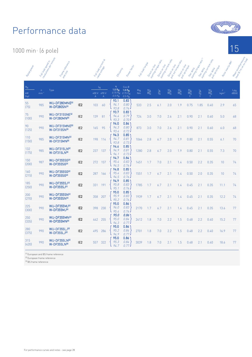1000

| min <sup>1</sup> (6 pole)       |                         |                                                             |                 |                                                          |              |                                                             |                                                        |                 |                   |                                         |                                          |                                                     |                   |                                       |                                                    |                       |  |
|---------------------------------|-------------------------|-------------------------------------------------------------|-----------------|----------------------------------------------------------|--------------|-------------------------------------------------------------|--------------------------------------------------------|-----------------|-------------------|-----------------------------------------|------------------------------------------|-----------------------------------------------------|-------------------|---------------------------------------|----------------------------------------------------|-----------------------|--|
| Rated points                    | Full load speeding      | revolvings jeer minute<br>Frame reference<br>andosise       |                 | Full load Currence<br>Tated to 1996                      |              | Efficiency                                                  | Pour factor                                            | Full load to go | Direct on time    | staring to que ratio<br>Orrect on trine | starting current ratio<br>Direct on line | pull out to mis<br>Oirect on time<br>pull yp to que | Star oeus         | Ashing long and a street<br>Star oeus | staring current ato<br>pull up to que<br>Star oeus | Rotoria Mitt          |  |
| $\frac{P_N}{P_N}$<br>kW<br>(hp) | $\mathsf{n}$<br>$min-1$ | Type                                                        |                 | $\mathsf{I}_{\mathsf{N}}$<br>400 V 690 V<br>$\mathsf{A}$ | $\mathsf{A}$ | η<br>1.0 P <sub>N</sub><br>$0.75 P_N$<br>0.5 P <sub>N</sub> | Cos Ø<br>1.0 P <sub>N</sub><br>$0.75 P_N$<br>$0.5 P_N$ | $M_N$<br>Nm     | $\frac{M_A}{M_N}$ | $\frac{I_A}{I_N}$                       | $\frac{M_K}{M_N}$                        | $\frac{M_S}{M_N}$                                   | $\frac{M_A}{M_N}$ | $\frac{I_A}{I_N}$                     | $\frac{M_S}{M_N}$                                  | J<br>kgm <sup>2</sup> |  |
| 55<br>(75)                      | 985                     | WU-DF280MNE <sup>[2]</sup><br>W-DF280SN(3)                  | IE <sub>2</sub> | 103                                                      | 60           | 93.1<br>94.1<br>93.8                                        | 0.83<br>0.80<br>0.74                                   | 533             | 2.5               | 6.1                                     | 2.0                                      | 1.9                                                 | 0.75              | 1.85                                  | 0.40                                               | 2.9                   |  |
| 75<br>(100)                     | 990                     | WU-DF315SNE <sup>(2)</sup><br>W-DF280MN(3)                  | IE <sub>2</sub> | 139                                                      | 81           | 93.7<br>94.4<br>93.3                                        | 0.83<br>0.79<br>0.70.                                  | 724             | 3.0               | 7.0                                     | 2.6                                      | 2.1                                                 | 0.90              | 2.1                                   | 0.60                                               | 5.0                   |  |
| 90<br>(125)                     | 990                     | WU-DF315MNE <sup>[2]</sup><br>W-DF315SN(3)                  | IE <sub>2</sub> | 165                                                      | 95           | 94.0<br>94.3<br>93.4                                        | 0.84<br>0.80<br>$0.72 -$                               | 873             | 3.0               | 7.0                                     | 2.6                                      | 2.1                                                 | 0.90              | 2.1                                   | 0.60                                               | 6.0                   |  |
| 110<br>(150)                    | 985                     | WU-DF315MN <sup>(2)</sup><br>W-DF315MN(3)                   | IE <sub>2</sub> | 198                                                      | 114          | 94.3<br>94.7<br>93.8                                        | 0.85<br>0.81<br>0.73                                   | 1066            | 2.8               | 6.7                                     | 2.0                                      | 1.9                                                 | 0.80              | 2.1                                   | 0.55                                               | 6.1                   |  |
| 132<br>(175)                    | 985                     | WU-DF315LN <sup>(2)</sup><br>W-DF315LN(3)                   | IE <sub>2</sub> | 237                                                      | 137          | 94.6<br>94.9<br>94.1                                        | 0.85<br>0.81<br>0.73                                   | 1280            | 2.8               | 6.7                                     | 2.0                                      | 1.9                                                 | 0.80              | 2.1                                   | 0.55                                               | 7.3                   |  |
| 150<br>(200)                    | 987                     | WU-DF355SG <sup>(2)</sup><br><b>W-DF355SG[3]</b>            | IE <sub>2</sub> | 272                                                      | 157          | 94.7<br>95.4<br>94.5                                        | 0.84<br>0.83<br>0.76                                   | 1451            | 1.7               | 7.0                                     | 2.1                                      | 1.4                                                 | 0.50              | 2.2                                   | 0.35                                               | 10                    |  |
| 160<br>(215)                    | 990                     | <b>WU-DF355SG<sup>[2]</sup></b><br><b>W-DF355SG[3]</b>      | IE <sub>2</sub> | 287                                                      | 166          | 94.8<br>95.4<br>94.5                                        | 0.85<br>0.83<br>0.76                                   | 1551            | 1.7               | 6.7                                     | 2.1                                      | 1.4                                                 | 0.50              | 2.0                                   | 0.35                                               | 10                    |  |
| 185<br>(250)                    | 990                     | <b>WU-DF355SJ<sup>(2)</sup></b><br>W-DF355SJ(3)             | IE <sub>2</sub> | 331                                                      | 191          | 94.9<br>95.8<br>95.1                                        | 0.85<br>0.83<br>0.76                                   | 1785            | 1.7               | 6.7                                     | 2.1                                      | 1.4                                                 | 0.45              | 2.1                                   | 0.35                                               | 11.1                  |  |
| 200<br>(270)                    | 990                     | <b>WU-DF355SN(2)</b><br>W-DF355SN(3)                        | IE <sub>2</sub> | 358                                                      | 207          | 95.0<br>95.9<br>95.2                                        | 0.85<br>0.83<br>0.76                                   | 1939            | 1.7               | 6.7                                     | 2.1                                      | 1.4                                                 | 0.45              | 2.1                                   | 0.35                                               | 12.2                  |  |
| 225<br>(300)                    | 990                     | <b>WU-DF355MJ<sup>(2)</sup></b><br>W-DF355MJ(3)             | IE <sub>2</sub> | 398                                                      | 230          | 95.0<br>96.0<br>95.4                                        | 0.86<br>0.83<br>0.76                                   | 2170            | 1.7               | 6.7                                     | 2.1                                      | 1.4                                                 | 0.45              | 2.1                                   | 0.35                                               | 13.6                  |  |
| 250<br>(335)                    | 990                     | WU-DF355MN <sup>[2]</sup><br>W-DF355MN(3)                   | IE <sub>2</sub> | 442                                                      | 255          | 95.0<br>95.0<br>94.3                                        | 0.86<br>0.84<br>0.77                                   | 2412            | 1.8               | 7.0                                     | 2.2                                      | 1.5                                                 | 0.48              | 2.2                                   | 0.40                                               | 15.2                  |  |
| 280<br>(375)                    | 990                     | <b>WU-DF355LJ<sup>[2]</sup></b><br>W-DF355LJ <sup>(3)</sup> | IE <sub>2</sub> | 495                                                      | 286          | 95.0<br>95.2<br>94.9                                        | 0.86<br>0.84<br>0.77.                                  | 2701            | 1.8               | 7.0                                     | 2.2                                      | 1.5                                                 | 0.48              | 2.2                                   | 0.40                                               | 16.9                  |  |
| 315<br>(420)                    | 990                     | WU-DF355LN <sup>(2)</sup><br><b>W-DF355LN(3)</b>            | IE <sub>2</sub> | 557                                                      | 322          | 95.0<br>95.3<br>947                                         | 0.86<br>0.84<br>0.77                                   | 3039            | 1.8               | 7.0                                     | 2.1                                      | 1.5                                                 | 0.48              | 2.1                                   | 0.40                                               | 18.6                  |  |

15

Mean sound pressure

LPA dB(A)

65

68

68

70

70

74

74

74

74

77

77

77

77

(1) European and BS frame reference

<sup>[2]</sup> European frame reference

[3] BS frame reference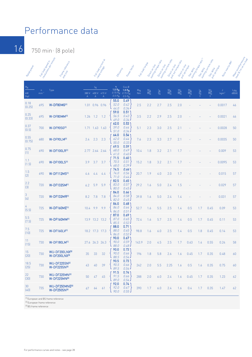16 750 min-1 (8 pole)

| Ranco poucher                           |                         | . Rull logd speed in<br>Frame reference<br>and oute |            |                                | Full load Currence<br>Taleo Lough | Efficiency                                         | Pour factor                                                                 | Full load to pue | Direct on line    | starting to que ratio<br>Direct on line | staring current ratio<br>Oirect on time | pull out torpie ratio<br>Direct on line | pull up to pull<br>Star oeux | Liarting to gue ation<br>Slanderda | staring current ratio<br>Stan oeu- | Roningstria William<br>pull va tongue | Mean sound processing<br>level a 1 m on n r 1 |
|-----------------------------------------|-------------------------|-----------------------------------------------------|------------|--------------------------------|-----------------------------------|----------------------------------------------------|-----------------------------------------------------------------------------|------------------|-------------------|-----------------------------------------|-----------------------------------------|-----------------------------------------|------------------------------|------------------------------------|------------------------------------|---------------------------------------|-----------------------------------------------|
| $\mathsf{P}_{\mathsf{N}}$<br>kW<br>[hp] | $\mathsf{n}$<br>$min-1$ | Type                                                | 380 V<br>Α | <sup>I</sup> N<br>$\mathsf{A}$ | 400 V 415 V<br>$\mathsf A$        | η<br>1.0 $P_N$<br>0.75 $P_N$<br>0.5 P <sub>N</sub> | $Cos \varnothing$<br>1.0 P <sub>N</sub><br>$0.75 P_N$<br>0.5 P <sub>N</sub> | $M_N$<br>Nm      | $\frac{M_A}{M_N}$ | $\frac{I_A}{I_N}$                       | $\frac{M_K}{M_N}$                       | $\frac{M_S}{M_N}$                       | $\frac{M_A}{M_N}$            | $\frac{1_A}{N}$                    | $\frac{M_S}{M_N}$                  | J<br>kgm <sup>2</sup>                 | L <sub>PA</sub><br>dB(A)                      |
| 0.18<br>(0.25)                          | 695                     | W-DF80MG <sup>(1)</sup>                             | 1.01       |                                | 0.96 0.96                         | 55.0<br>52.0<br>44.0                               | 0.49<br>0.42<br>0.34                                                        | 2.5              | 2.2               | 2.7                                     | 2.5                                     | 2.0                                     |                              |                                    |                                    | 0.0017                                | 46                                            |
| 0.25<br>(0.33)                          | 695                     | W-DF80MM <sup>(1)</sup>                             | 1.26       | 1.2                            | 1.2                               | 59.0<br>56.5<br>49.0                               | 0.51<br>0.43<br>0.34                                                        | 3.5              | 2.2               | 2.9                                     | 2.5                                     | 2.0                                     |                              |                                    |                                    | 0.0021                                | 46                                            |
| 0.37<br>(0.5)                           | 700                     | W-DF90SG <sup>(1)</sup>                             | 1.71       | 1.63                           | 1.63                              | 62.0<br>59.0<br>51.0                               | 0.53<br>0.44<br>0.34.                                                       | 5.1              | 2.3               | 3.0                                     | 2.5                                     | 2.1                                     |                              |                                    |                                    | 0.0028                                | 50                                            |
| 0.55<br>(0.75)                          | 680                     | W-DF90LM <sup>(1)</sup>                             | 2.4        | 2.3                            | 2.3                               | 64.0<br>62.0<br>55.0                               | 0.54<br>0.44<br>0.33                                                        | 7.6              | 2.3               | 3.3                                     | 2.7                                     | 2.1                                     |                              |                                    |                                    | 0.0035                                | 50                                            |
| 0.75<br>$[1]$                           | 690                     | <b>W-DF100LR(1)</b>                                 | 2.77       |                                | 2.64 2.64                         | 69.5<br>68.0<br>61.0                               | 0.59<br>0.49<br>0.40                                                        | 10.4             | 1.8               | 3.2                                     | 2.1                                     | 1.7                                     |                              |                                    |                                    | 0.009                                 | 53                                            |
| 1.1<br>(1.5)                            | 690                     | <b>W-DF100LS(1)</b>                                 | 3.9        | 3.7                            | 3.7                               | 71.5<br>70.5<br>68.0                               | 0.60<br>0.51<br>0.39                                                        | 15.2             | 1.8               | 3.2                                     | 2.1                                     | 1.7                                     |                              |                                    |                                    | 0.0095                                | 53                                            |
| 1.5<br>[2]                              | 690                     | W-DF112MS <sup>(1)</sup>                            | 4.6        | 4.4                            | 4.4                               | 74.5<br>74.0<br>71.0                               | 0.66<br>0.56<br>0.44                                                        | 20.7             | 1.9               | 4.0                                     | 2.0                                     | 1.7                                     |                              |                                    |                                    | 0.015                                 | 57                                            |
| 2.2<br>$[3]$                            | 720                     | W-DF132SM(1)                                        | 6.2        | 5.9                            | 5.9                               | 82.5<br>83.0<br>80.0                               | 0.65<br>0.57<br>0.45                                                        | 29.2             | 1.6               | 5.0                                     | 2.4                                     | 1.5                                     |                              |                                    |                                    | 0.029                                 | 57                                            |
| $\sqrt{3}$<br>$[4]$                     | 720                     | <b>W-DF132MR(1)</b>                                 | 8.2        | 7.8                            | 7.8                               | 84.0<br>84.0<br>82.0                               | 0.66<br>0.58<br>0.45                                                        | 39.8             | 1.6               | 5.0                                     | 2.4                                     | 1.4                                     |                              |                                    |                                    | 0.031                                 | 57                                            |
| 4<br>(5.5)                              | 725                     | <b>W-DF160ME<sup>(1)</sup></b>                      | 10.4       | 9.9                            | 9.9                               | 86.0<br>86.0<br>84.0                               | 0.68<br>0.64<br>0.51                                                        | 52.7             | 1.6               | 5.5                                     | 2.5                                     | 1.4                                     | 0.5                          | 1.7                                | 0.45                               | 0.09                                  | 53                                            |
| 5.5<br>(7.5)                            | 725                     | <b>W-DF160MM(1)</b>                                 | 13.9       | 13.2                           | 13.2                              | 87.0<br>87.0<br>85.5                               | 0.69<br>0.65<br>0.52                                                        | 72.4             | 1.6               | 5.7                                     | 2.5                                     | 1.4                                     | 0.5                          | 1.7                                | 0.45                               | 0.11                                  | 53                                            |
| 7.5<br>(10)                             | 725                     | W-DF160LV(1)                                        | 18.2       | 17.3 17.3                      |                                   | 88.0<br>88.0<br>86.0                               | 0.71<br>0.65<br>0.52                                                        | 98.8             | 1.6               | 6.0                                     | 2.5                                     | 1.4                                     | 0.5                          | 1.8                                | 0.45                               | 0.14                                  | 53                                            |
| 11<br>(15)                              | 730                     | <b>W-DF180LM(1)</b>                                 |            | 27.6 26.3 26.3                 |                                   | 90.0<br>90.0<br>88.0                               | 0.67<br>0.59<br>0.48                                                        | 143.9            | 2.0               | 4.5                                     | 2.5                                     | 1.7                                     | 0.63                         | 1.4                                | 0.55                               | 0.24                                  | 58                                            |
| 15<br>(20)                              | 730                     | WU-DF200LNX <sup>(2)</sup><br><b>W-DF200LNX(3)</b>  | 35         | 33                             | 32                                | 90.0<br>90.0<br>88.5                               | 0.73<br>0.66<br>0.54                                                        | 196              | 1.8               | 5.8                                     | 2.6                                     | 1.6                                     | 0.45                         | 1.7                                | 0.35                               | 0.48                                  | 60                                            |
| 18.5<br>(25)                            | 730                     | WU-DF225SN <sup>(2)</sup><br><b>W-DF225SN(3)</b>    | 43         | $40\,$                         | 39                                | 90.5<br>90.5<br>89.5                               | 0.73<br>0.66<br>0.54                                                        | 242              | 2.0               | 5.5                                     | 2.25                                    | 1.6                                     | 0.5                          | 1.6                                | 0.35                               | 0.75                                  | 60                                            |
| 22<br>$[30]$                            | 730                     | WU-DF225MN <sup>(2)</sup><br>W-DF225MN(3)           | 50         | 47                             | 45                                | 91.5<br>91.5<br>89.0                               | 0.74<br>0.66<br>0.54                                                        | 288              | 2.0               | 6.0                                     | 2.4                                     | 1.6                                     | 0.45                         | 1.7                                | 0.35                               | 1.23                                  | 62                                            |
| 30<br>(40)                              | 735                     | WU-DF250MNE <sup>[2]</sup><br><b>W-DF250SN(3)</b>   | 67         | 64                             | 61                                | 92.0<br>92.0<br>90.0                               | 0.74<br>0.67<br>0.55                                                        | 390              | 1.7               | 6.0                                     | 2.4                                     | 1.6                                     | 0.4                          | 1.7                                | 0.35                               | 1.47                                  | 62                                            |

(1) European and BS frame reference

<sup>(2)</sup> European frame reference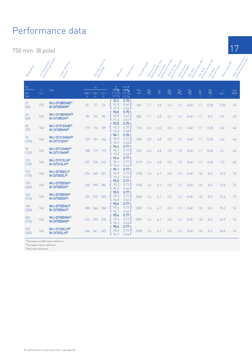750 min-1 (8 pole)

| Rategraphy                    | Full logg speeding      | revolutions per minute<br>Frame release.<br>and sixe |            |                                  | Full load Currence<br>Taked to take | Efficiency                                         | Poorter factor                                                         | Full load for pulle | Direct on line    | staning to que ratio<br>Direct on line | starting current ratio<br>Direct on line | pull out to appear atto<br>Direct on line | Star della        | starting to gue ation<br>Stan oeu- | starting current ratio<br>pullus bonus<br>Star delta | Rotoria Maria Mac      | Mean sound processing<br>lere(a1monton) |
|-------------------------------|-------------------------|------------------------------------------------------|------------|----------------------------------|-------------------------------------|----------------------------------------------------|------------------------------------------------------------------------|---------------------|-------------------|----------------------------------------|------------------------------------------|-------------------------------------------|-------------------|------------------------------------|------------------------------------------------------|------------------------|-----------------------------------------|
| $\frac{P_N}{P}$<br>kW<br>[hp] | $\mathsf{n}$<br>$min-1$ | Type                                                 | 380 V<br>A | <sup>I</sup> N<br>$\overline{A}$ | 400 V 415 V<br>$\mathsf{A}$         | η<br>1.0 P <sub>N</sub><br>$0.75 P_N$<br>$0.5 P_N$ | $Cos \emptyset$<br>1.0 P <sub>N</sub><br>$0.75 P_{\rm N}$<br>$0.5 P_N$ | $M_N$<br>Nm         | $\frac{M_A}{M_N}$ | $\frac{I_A}{I_N}$                      | $\frac{M_K}{M_N}$                        | $\frac{M_S}{M_N}$                         | $\frac{M_A}{M_N}$ | $\frac{I_A}{I_N}$                  | $\frac{M_S}{M_N}$                                    | J.<br>kgm <sup>2</sup> | $L_{\text{PA}}$<br>dB(A)                |
| 37<br>[50]                    | 735                     | WU-DF280SNE <sup>(2)</sup><br>W-DF250MN(3)           | 81         | 77                               | 74                                  | 92.5<br>92.5<br>91.5                               | 0.75<br>0.68<br>0.56                                                   | 481                 | 1.7               | 6.0                                    | 2.4                                      | 1.6                                       | 0.40              | 1.7                                | 0.35                                                 | 2.55                   | 63                                      |
| 45<br>(60)                    | 735                     | WU-DF280MNE <sup>[2]</sup><br>W-DF280SN(3)           | 98         | 93                               | 90                                  | 93.0<br>92.8<br>91.6                               | 0.75<br>0.69<br>0.57                                                   | 585                 | 1.7               | 6.0                                    | 2.4                                      | 1.4                                       | 0.40              | 1.7                                | 0.3                                                  | 2.9                    | 63                                      |
| 55<br>(75)                    | 740                     | WU-DF315SNE <sup>[2]</sup><br>W-DF280MN(3)           | 119        | 113                              | 109                                 | 93.5<br>93.3<br>92.0                               | 0.75<br>0.70<br>0.58                                                   | 710                 | 2.5               | 6.0                                    | 2.0                                      | 1.5                                       | 0.60              | 1.7                                | 0.35                                                 | 5.0                    | 64                                      |
| 75<br>(100)                   | 740                     | WU-DF315MNE <sup>[2]</sup><br>W-DF315SN(3)           | 159        | 151                              | 146                                 | 94.1<br>93.9<br>92.2                               | 0.76<br>0.72<br>0.60.                                                  | 968                 | 2.5               | 6.0                                    | 2.0                                      | 1.5                                       | 0.60              | 1.7                                | 0.35                                                 | 6.0                    | 64                                      |
| 90<br>(125)                   | 740                     | WU-DF315MN <sup>(2)</sup><br>W-DF315MN(3)            | 188        | 179                              | 172                                 | 94.4<br>94.2<br>93.4                               | 0.77<br>0.73<br>$0.64 -$                                               | 1161                | 2.4               | 6.0                                    | 2.0                                      | 1.8                                       | 0.65              | 1.7                                | 0.45                                                 | 6.1                    | 65                                      |
| 110<br>(150)                  | 740                     | WU-DF315LN <sup>(2)</sup><br>W-DF315LN(3)            | 227        | 218                              | 210                                 | 94.6<br>94.4<br>93.6                               | 0.77<br>0.73<br>$0.64 -$                                               | 1419                | 2.4               | 6.0                                    | 2.0                                      | 1.8                                       | 0.65              | 1.7                                | 0.45                                                 | 7.3                    | 65                                      |
| 132<br>(175)                  | 740                     | <b>WU-DF355SJ(2)</b><br>W-DF355SJ(3)                 | 274        | 260                              | 251                                 | 95.1<br>94.8<br>93.6                               | 0.77'<br>0.73<br>$0.64 -$                                              | 1703                | 1.6               | 6.1                                    | 2.0                                      | 1.3                                       | 0.40              | 1.8                                | 0.3                                                  | 12.2                   | 72                                      |
| 150<br>(200)                  | 740                     | <b>WU-DF355SN(2)</b><br><b>W-DF355SN(3)</b>          | 310        | 295                              | 284                                 | 95.5<br>95.3<br>94.0                               | 0.77'<br>0.73<br>$0.64 -$                                              | 1936                | 1.6               | 6.1                                    | 2.0                                      | 1.3                                       | 0.40              | 1.8                                | 0.3                                                  | 13.6                   | 72                                      |
| 160<br>[215]                  | 740                     | WU-DF355SN <sup>(2)</sup><br>W-DF355SN(3)            | 331        | 315                              | 303                                 | 95.5<br>95.3<br>94.0                               | 0.77'<br>0.73<br>0.64                                                  | 2065                | 1.6               | 6.1                                    | 2.0                                      | 1.3                                       | 0.40              | 1.8                                | 0.3                                                  | 13.6                   | 72                                      |
| 185<br>(250)                  | 740                     | <b>WU-DF355MJ<sup>(2)</sup></b><br>W-DF355MJ(3)      | 383        | 364                              | 350                                 | 95.6<br>95.4<br>94.1                               | 0.77<br>0.73<br>0.64                                                   | 2387                | 1.6               | 6.1                                    | 2.0                                      | 1.3                                       | 0.40              | 1.8                                | 0.3                                                  | 15.2                   | 74                                      |
| 200<br>(270)                  | 740                     | WU-DF355MN <sup>(2)</sup><br>W-DF355MN(3)            | 413        | 393                              | 378                                 | 95.6<br>95.4<br>94.3                               | 0.77'<br>0.73<br>0.64                                                  | 2581                | 1.6               | 6.1                                    | 2.0                                      | 1.3                                       | 0.40              | 1.8                                | 0.3                                                  | 16.9                   | 74                                      |
| 225<br>(300)                  | 740                     | <b>WU-DF355LN<sup>(2)</sup></b><br>W-DF355LN(3)      | 464        | 441                              | 425                                 | 95.6<br>95.4<br>94.7                               | 0.77<br>0.73<br>0.64                                                   | 2903                | 1.6               | 6.1                                    | 2.0                                      | 1.3                                       | 0.40              | 1.8                                | 0.3                                                  | 18.6                   | 74                                      |

(1) European and BS frame reference

<sup>[2]</sup> European frame reference

[3] BS frame reference

17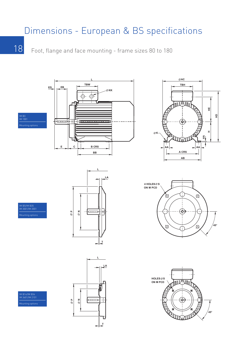# Dimensions - European & BS specifications

18

Foot, flange and face mounting - frame sizes 80 to 180

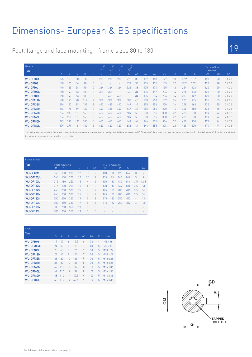## Dimensions- European & BS specifications

Foot, flange and face mounting - frame sizes 80 to 180

| General    | Type         |     |     |     |    |     |     |     | Book   |    |     |     |           |                 |                |        | <b>Terminal box</b><br>$\overline{\phantom{m}}$ |     |        |  |
|------------|--------------|-----|-----|-----|----|-----|-----|-----|--------|----|-----|-----|-----------|-----------------|----------------|--------|-------------------------------------------------|-----|--------|--|
|            | $\mathsf{A}$ | B   | C   | н   | K  |     |     |     |        | AA | AB  | AC  | <b>BB</b> | HA              | H <sub>D</sub> | HE.    | <b>TBW</b>                                      | TBH | KK     |  |
| WU-DF80M   | 125          | 100 | 50  | 80  | 10 | 278 | 278 | 278 | 278    | 35 | 157 | 158 | 127       | 10 <sup>1</sup> | 159*           | $118*$ | 120                                             | 120 | 1 X 20 |  |
| WU-DF90S   | 140          | 100 | 56  | 90  | 10 |     |     |     | 322    | 38 | 175 | 175 | 155       | 12              | $179*$         | $123*$ | 120                                             | 120 | 1 X 20 |  |
| WU-DF90L   | 140          | 125 | 56  | 90  | 10 | 364 | 364 | 364 | 322    | 38 | 175 | 174 | 195       | 12              | 254            | 123    | 120                                             | 120 | 1 X 20 |  |
| WU-DF100L  | 160          | 140 | 63  | 100 | 12 | 368 | 368 | ۰   | 368    | 34 | 195 | 197 | 206       | 14 <sup>°</sup> | 274            | 133    | 120                                             | 120 | 2 X 20 |  |
| WU-DF100LF | 160          | 140 | 63  | 100 | 12 | ۰   | 409 | 409 | $\sim$ | 34 | 195 | 214 | 206       | $14^{1}$        | 283            | 142    | 120                                             | 120 | 2 X 20 |  |
| WU-DF112M  | 190          | 140 | 70  | 112 | 12 | 382 | 382 | 382 | 382    | 40 | 230 | 220 | 182       | 16              | 305            | 145    | 135                                             | 135 | 2 X 25 |  |
| WU-DF132S  | 216          | 140 | 89  | 132 | 12 | 447 | 485 | 447 | 447    | 47 | 255 | 256 | 220       | 16              | 348            | 168    | 135                                             | 135 | 2 X 25 |  |
| WU-DF132M  | 216          | 178 | 89  | 132 | 12 | 447 | 485 | 447 | 447    | 47 | 255 | 256 | 220       | 16              | 348            | 168    | 135                                             | 135 | 2 X 25 |  |
| WU-DF160M  | 254          | 210 | 108 | 160 | 15 | 604 | 604 | 604 | 604    | 55 | 300 | 315 | 300       | 22              | 428            | 208    | 174                                             | 174 | 2 X 32 |  |
| WU-DF160L  | 254          | 254 | 108 | 160 | 15 | 604 | 604 | 604 | 604    | 55 | 300 | 315 | 300       | 22              | 428            | 208    | 174                                             | 174 | 2 X 32 |  |
| WU-DF180M  | 279          | 241 | 121 | 180 | 15 | 663 | 663 | 663 | 663    | 64 | 344 | 355 | 326       | 22              | 469            | 230    | 174                                             | 174 | 2 X 32 |  |
| WU-DF180L  | 279          | 279 | 121 | 180 | 15 | 663 | 663 | 663 | 663    | 64 | 344 | 355 | 326       | 22              | 469            | 230    | 174                                             | 174 | 2 X 32 |  |

.<br>\* All 80 frame motors and the 90 frame 8 pole motor have the terminal box mounted on the right hand side when viewed on DE. Dimension 'HD' is the top of the motor when terminal box R.H.S and dimension 'HE' is the centre the motor to the centre line of the cable entry position.

| Flange & Face    |     |                     |     |    |     |    |     |                      |     |                |     |      |
|------------------|-----|---------------------|-----|----|-----|----|-----|----------------------|-----|----------------|-----|------|
| Type             | M   | IM B5 mounting<br>N | P   | S  | Τ   | LA | M   | IM B14 mounting<br>N | P   | S              | Τ   | LA   |
| WU-DF80M         | 165 | 130                 | 200 | 12 | 3.5 | 12 | 100 | 80                   | 120 | M6             | 3   | 9    |
| WU-DF90S/L       | 165 | 130                 | 200 | 12 | 3.5 | 12 | 115 | 95                   | 140 | <b>M8</b>      | 3   | 9    |
| WU-DF100L        | 215 | 180                 | 250 | 15 | 4   | 12 | 130 | 110                  | 160 | M <sub>8</sub> | 3.5 | 12.5 |
| WU-DF112M        | 215 | 180                 | 250 | 15 | 4   | 12 | 130 | 110                  | 164 | <b>M8</b>      | 3.5 | 13   |
| <b>WU-DF132S</b> | 265 | 230                 | 300 | 15 | 4   | 12 | 165 | 130                  | 200 | M10            | 3.5 | 14   |
| WU-DF132M        | 265 | 230                 | 300 | 15 | 4   | 12 | 165 | 130                  | 200 | M10            | 3.5 | 14   |
| WU-DF160M        | 300 | 250                 | 350 | 19 | 5   | 13 | 215 | 180                  | 250 | M12            | 4   | 13   |
| WU-DF160L        | 300 | 250                 | 350 | 19 | 5   | 13 | 215 | 180                  | 250 | M12            | 4   | 13   |
| WU-DF180M        | 300 | 250                 | 350 | 19 | 5   | 15 |     |                      |     |                |     |      |
| WU-DF180L        | 300 | 250                 | 350 | 19 | 5   | 15 |     |                      |     |                |     |      |

| Shaft<br><b>Type</b> |    |     |    |      |              |           |    |                      |
|----------------------|----|-----|----|------|--------------|-----------|----|----------------------|
|                      | D  | F   | F  | G    | GD           | <b>FB</b> | ED | <b>DH</b>            |
| <b>WU-DF80M</b>      | 19 | 40  | 6  | 15.5 | 6            | 32        | 4  | M6 x 16              |
| WU-DF90S/L           | 24 | 50  | 8  | 20   | 7            | 40        | 5  | M8 x 19              |
| WU-DF100L            | 28 | 60  | 8  | 24   | 7            | 50        | 5  | M10 x 22             |
| WU-DF112M            | 28 | 60  | 8  | 24   | 7            | 50        | 5  | $M10 \times 22$      |
| <b>WU-DF132S</b>     | 38 | 80  | 10 | 33   | 8            | 70        | 5  | M <sub>12</sub> x 28 |
| WU-DF132M            | 38 | 80  | 10 | 33   | 8            | 70        | 5  | M <sub>12</sub> x 28 |
| WU-DF160M            | 42 | 110 | 12 | 37   | 8            | 100       | 5  | M <sub>16</sub> x 36 |
| WU-DF160L            | 42 | 110 | 12 | 37   | $\mathsf{R}$ | 100       | 5  | M <sub>16</sub> x 36 |
| WU-DF180M            | 48 | 110 | 14 | 42.5 | 9            | 100       | 5  | M <sub>16</sub> x 36 |
| WU-DF180L            | 48 | 110 | 14 | 42.5 | 9            | 100       | 5  | M <sub>16</sub> x 36 |

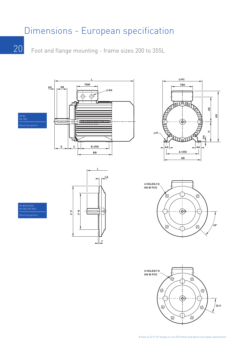### Dimensions - European specification

20 Foot and flange mounting - frame sizes 200 to 355L





8 holes at 22.5° for flanges to suit 225 frames and above to European specification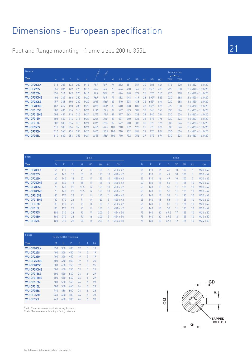## Dimensions - European specification

Foot and flange mounting - frame sizes 200 to 355L

| General          |              |     |     |     |                 | $\mathbf{x}$<br>Looke | 2006 |     |     |     |           |           |        |                 | <b>Terminal box</b> |            |                               |
|------------------|--------------|-----|-----|-----|-----------------|-----------------------|------|-----|-----|-----|-----------|-----------|--------|-----------------|---------------------|------------|-------------------------------|
| <b>Type</b>      | $\mathsf{A}$ | B   | C   | H   | K               |                       |      | AA  | AB  | AC  | <b>BB</b> | <b>HA</b> | HD     | HD <sup>1</sup> | يكسح<br><b>TBW</b>  | <b>TBH</b> | <b>KK</b>                     |
| WU-DF200LX       | 318          | 305 | 133 | 200 | M <sub>16</sub> | 787                   | 787  | 74  | 382 | 381 | 359       | 30        | 501    | 444             | 176                 | 220        | $2 \times M32 + 1 \times M20$ |
| <b>WU-DF225S</b> | 356          | 286 | 149 | 225 | M <sub>16</sub> | 875                   | 845  | 70  | 426 | 410 | 349       | 25        | 550[1] | 488             | 220                 | 288        | $2 \times M40 + 1 \times M20$ |
| WU-DF225M        | 356          | 31  | 149 | 225 | M16             | 915                   | 885  | 70  | 426 | 448 | 374       | 25        | 570    | 510             | 220                 | 288        | $2 \times M40 + 1 \times M20$ |
| WU-DF250ME       | 406          | 349 | 168 | 250 | M20             | 985                   | 985  | 79  | 482 | 448 | 419       | 28        | 595[2] | 535             | 220                 | 288        | $2 \times M50 + 1 \times M20$ |
| WU-DF280SE       | 457          | 368 | 190 | 280 | M20             | 1065                  | 1065 | 83  | 540 | 508 | 438       | 35        | 655[1] | 595             | 220                 | 288        | $2 \times M50 + 1 \times M20$ |
| WU-DF280ME       | 457          | 419 | 190 | 280 | M <sub>20</sub> | 1070                  | 1070 | 83  | 540 | 508 | 489       | 35        | 655[1] | 595             | 220                 | 288        | $2 \times M50 + 1 \times M20$ |
| WU-DF315SE       | 508          | 406 | 216 | 315 | M24             | 1145                  | 1115 | 89  | 597 | 563 | 482       | 38        | 845    | 744             | 330                 | 526        | $2 \times M63 + 1 \times M20$ |
| WU-DF315ME       | 508          | 457 | 216 | 315 | M24             | 1215                  | 1185 | 89  | 597 | 563 | 533       | 38        | 845    | 744             | 330                 | 526        | $2 \times M63 + 1 \times M20$ |
| WU-DF315M        | 508          | 457 | 216 | 315 | M24             | 1245                  | 1215 | 89  | 597 | 640 | 533       | 38        | 875    | 776             | 330                 | 526        | $2 \times M63 + 1 \times M20$ |
| WU-DF315L        | 508          | 508 | 216 | 315 | M24             | 1315                  | 1285 | 89  | 597 | 640 | 583       | 38        | 875    | 776             | 330                 | 526        | $2 \times M63 + 1 \times M20$ |
| <b>WU-DF355S</b> | 610          | 500 | 254 | 355 | M24             | 1485                  | 1415 | 100 | 710 | 732 | 626       | 27        | 975    | 874             | 330                 | 526        | $2 \times M63 + 1 \times M20$ |
| WU-DF355M        | 610          | 560 | 254 | 355 | M24             | 1605                  | 1535 | 100 | 710 | 732 | 686       | 27        | 975    | 874             | 330                 | 526        | $2 \times M63 + 1 \times M20$ |
| WU-DF355L        | 610          | 630 | 254 | 355 | M24             | 1655                  | 1585 | 100 | 710 | 732 | 756       | 27        | 975    | 874             | 330                 | 526        | $2 \times M63 + 1 \times M20$ |

| Shaft            |     |     |    |      | 4 pole + |     |                 |                 |        |     |    |      | 2 pole |     |                 |                 |
|------------------|-----|-----|----|------|----------|-----|-----------------|-----------------|--------|-----|----|------|--------|-----|-----------------|-----------------|
| <b>Type</b>      | D   | F   | F  | G    | GD       | EB  | ED              | DH              | $\Box$ | Ε   | F  | G    | GD     | EB  | ED              | <b>DH</b>       |
| WU-DF200LX       | 55  | 110 | 16 | 49   | 10       | 100 | 5               | M20 x 42        | 55     | 110 | 16 | 49   | 10     | 100 | 5               | M20 x 42        |
| <b>WU-DF225S</b> | 60  | 140 | 18 | 53   | 11       | 125 | 10 <sup>1</sup> | $M20 \times 42$ | 55     | 110 | 16 | 49   | 10     | 100 | 5.              | $M20 \times 42$ |
| WU-DF225M        | 60  | 140 | 18 | 53   | 11       | 125 | 10              | $M20 \times 42$ | 55     | 110 | 16 | 49   | 10     | 100 | 5               | $M20 \times 42$ |
| WU-DF250ME       | 65  | 140 | 18 | 58   | 11       | 125 | 10              | M20 x 42        | 60     | 140 | 18 | 53   |        | 125 | 10              | $M20 \times 42$ |
| WU-DF280SE       | 75  | 140 | 20 | 67.5 | 12       | 125 | 10              | M20 x 42        | 65     | 140 | 18 | 53   |        | 125 | 10 <sup>1</sup> | $M20 \times 42$ |
| WU-DF280ME       | 75  | 140 | 20 | 67.5 | 12       | 125 | 10 <sup>1</sup> | $M20 \times 42$ | 65     | 140 | 18 | 58   |        | 125 | 10 <sup>1</sup> | $M20 \times 42$ |
| WU-DF315SE       | 80  | 170 | 22 | 71   | 14       | 160 | 5               | $M20 \times 42$ | 65     | 140 | 18 | 58   |        | 125 | 10 <sup>1</sup> | $M20 \times 42$ |
| WU-DF315ME       | 80  | 170 | 22 | 71   | 14       | 160 | 5               | $M20 \times 42$ | 65     | 140 | 18 | 58   |        | 125 | 10              | $M20 \times 42$ |
| WU-DF315M        | 80  | 170 | 22 | 71   | 14       | 160 | 5               | $M20 \times 42$ | 65     | 140 | 18 | 58   |        | 125 | 10 <sup>1</sup> | $M20 \times 42$ |
| WU-DF315L        | 80  | 170 | 22 | 71   | 14       | 160 | 5               | M20 x 42        | 65     | 140 | 18 | 58   |        | 125 | 10 <sup>1</sup> | $M20 \times 42$ |
| <b>WU-DF355S</b> | 100 | 210 | 28 | 90   | 16       | 200 | 5               | M24 x 50        | 75     | 140 | 20 | 67.5 | 12     | 125 | 10 <sup>1</sup> | M24 x 50        |
| WU-DF355M        | 100 | 210 | 28 | 90   | 16       | 200 | 5               | $M24 \times 50$ | 75     | 140 | 20 | 67.5 |        | 125 | 10              | $M24 \times 50$ |
| WU-DF355L        | 100 | 210 | 28 | 90   | 16       | 200 | 5               | M24 x 50        | 75     | 140 | 20 | 67.5 | 12     | 125 | 10 <sup>1</sup> | $M24 \times 50$ |

| Flange            |     |     | IM B5, IM B35 mounting |    |                |    |
|-------------------|-----|-----|------------------------|----|----------------|----|
| <b>Type</b>       | M   | N   | P                      | S  | Τ              | LA |
| <b>WU-DF200LX</b> | 350 | 300 | 400                    | 19 | 5              | 19 |
| <b>WU-DF225S</b>  | 400 | 350 | 450                    | 19 | 5              | 19 |
| WU-DF225M         | 400 | 350 | 450                    | 19 | 5              | 19 |
| WU-DF250ME        | 500 | 450 | 550                    | 19 | 5              | 25 |
| WU-DF280SE        | 500 | 450 | 550                    | 19 | 5              | 25 |
| WU-DF280MF        | 500 | 450 | 550                    | 19 | 5              | 25 |
| WU-DF315SE        | 600 | 550 | 660                    | 24 | $\overline{a}$ | 29 |
| WU-DF315ME        | 600 | 550 | 660                    | 24 | $\overline{a}$ | 29 |
| WU-DF315M         | 600 | 550 | 660                    | 24 | h              | 29 |
| <b>WU-DE315L</b>  | 600 | 550 | 660                    | 24 | $\overline{a}$ | 29 |
| <b>WU-DF355S</b>  | 740 | 680 | 800                    | 24 | $\overline{a}$ | 28 |
| WU-DF355M         | 740 | 680 | 800                    | 24 | h              | 28 |
| WU-DF355L         | 740 | 680 | 800                    | 24 | $\overline{a}$ | 28 |

**(1)** add 25mm when cable entry is facing drive end<br>**(2)** add 50mm when cable entry is facing drive end

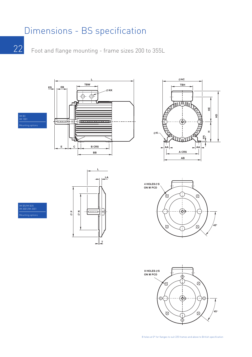### Dimensions - BS specification

22

Foot and flange mounting - frame sizes 200 to 355L



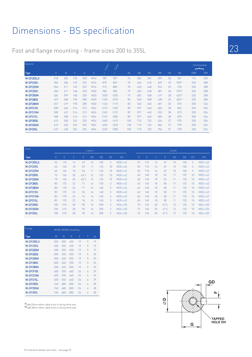## Dimensions - BS specification

Foot and flange mounting - frame sizes 200 to 355L

| General         |              |     |     |     |                 | ADOCK X | 2 porce |     |     |     |           |           |           | <b>Terminal box</b><br>$\overline{\phantom{a}}$ |            |
|-----------------|--------------|-----|-----|-----|-----------------|---------|---------|-----|-----|-----|-----------|-----------|-----------|-------------------------------------------------|------------|
| <b>Type</b>     | $\mathsf{A}$ | B   | C   | H   | K               |         |         | AA  | AB  | AC  | <b>BB</b> | <b>HA</b> | <b>HD</b> | <b>TBW</b>                                      | <b>TBH</b> |
| W-DF200LX       | 318          | 305 | 133 | 200 | M16             | 787     | 787     | 74  | 382 | 381 | 359       | 30        | 501       | 176                                             | 220        |
| <b>W-DF225S</b> | 356          | 286 | 149 | 225 | M <sub>16</sub> | 875     | 845     | 70  | 426 | 410 | 349       | 25        | 550(1)    | 220                                             | 288        |
| <b>W-DF225M</b> | 356          | 311 | 149 | 225 | M16             | 915     | 885     | 70  | 426 | 448 | 374       | 25        | 570       | 220                                             | 288        |
| <b>W-DF250S</b> | 406          | 311 | 168 | 250 | M20             | 985     | 985     | 79  | 482 | 448 | 381       | 28        | 595(2)    | 220                                             | 288        |
| <b>W-DF250M</b> | 406          | 349 | 168 | 250 | M20             | 1030    | 1030    | 79  | 482 | 508 | 419       | 28        | 625[1]    | 220                                             | 288        |
| <b>W-DF280S</b> | 457          | 368 | 190 | 280 | M20             | 1100    | 1070    | 83  | 540 | 508 | 438       | 35        | 655[1]    | 220                                             | 288        |
| <b>W-DF280M</b> | 457          | 419 | 190 | 280 | M20             | 1145    | 1115    | 83  | 540 | 563 | 487       | 35        | 810       | 330                                             | 526        |
| <b>W-DF315S</b> | 508          | 406 | 216 | 315 | M24             | 1215    | 1185    | 89  | 597 | 563 | 483       | 38        | 845       | 330                                             | 526        |
| W-DF315M        | 508          | 457 | 216 | 315 | M24             | 1245    | 1215    | 89  | 597 | 640 | 533       | 38        | 875       | 330                                             | 526        |
| W-DF315L        | 508          | 508 | 216 | 315 | M24             | 1315    | 1285    | 89  | 597 | 640 | 583       | 38        | 875       | 330                                             | 526        |
| <b>W-DF355S</b> | 610          | 500 | 254 | 355 | M24             | 1485    | 1415    | 100 | 710 | 732 | 626       | 27        | 970       | 330                                             | 526        |
| <b>W-DF355M</b> | 610          | 560 | 254 | 355 | M24             | 1605    | 1535    | 100 | 710 | 732 | 686       | 27        | 970       | 330                                             | 526        |
| <b>W-DF355L</b> | 610          | 630 | 254 | 355 | M24             | 1655    | 1585    | 100 | 710 | 732 | 756       | 27        | 970       | 330                                             | 526        |

| <b>Shaft</b>    |     |     |    |      | 4 pole + |     |                |           |    |     |    |      | 2 pole          |     |    |                 |
|-----------------|-----|-----|----|------|----------|-----|----------------|-----------|----|-----|----|------|-----------------|-----|----|-----------------|
| <b>Type</b>     | D   | E   | F  | G    | GD       | EB  | ED             | <b>DH</b> | D  | E   | F  | G    | GD              | EB  | ED | <b>DH</b>       |
| W-DF200LX       | 55  | 110 | 16 | 49   | 10       | 100 | 5              | M20 x 42  | 55 | 110 | 16 | 49   | 10              | 100 | 5  | M20 x 42        |
| <b>W-DF225S</b> | 60  | 140 | 18 | 53   | 11       | 125 | 10             | M20 x 42  | 55 | 110 | 16 | 49   | 10 <sup>1</sup> | 100 | 5  | $M20 \times 42$ |
| <b>W-DF225M</b> | 60  | 140 | 18 | 53   | 11       | 125 | 10             | M20 x 42  | 55 | 110 | 16 | 49   | 10              | 100 | 5  | M20 x 42        |
| <b>W-DF250S</b> | 70  | 140 | 20 | 62.5 | 12       | 125 | 10             | M20 x 42  | 60 | 140 | 18 | 53   | 11              | 125 | 10 | $M20 \times 42$ |
| <b>W-DF250M</b> | 70  | 140 | 20 | 62.5 | 12       | 125 | 10             | M20 x 42  | 60 | 140 | 18 | 53   | 11              | 125 | 10 | $M20 \times 42$ |
| <b>W-DF280S</b> | 80  | 170 | 22 | 71   | $14^{1}$ | 160 | 5              | M20 x 42  | 65 | 140 | 18 | 58   | 11              | 125 | 10 | $M20 \times 42$ |
| <b>W-DF280M</b> | 80  | 170 | 22 | 71   | 14       | 160 | 5              | M20 x 42  | 65 | 140 | 18 | 58   | 11              | 125 | 10 | $M20 \times 42$ |
| <b>W-DF315S</b> | 85  | 170 | 22 | 76   | 14       | 160 | 5              | M20 x 42  | 65 | 140 | 18 | 58   | 11              | 125 | 10 | M20 x 42        |
| W-DF315M        | 85  | 170 | 22 | 76   | 14       | 160 | 5              | M20 x 42  | 65 | 140 | 18 | 58   | 11              | 125 | 10 | $M20 \times 42$ |
| W-DF315L        | 85  | 170 | 22 | 76   | 14       | 160 | 5              | M20 x 42  | 65 | 140 | 18 | 58   | 11              | 125 | 10 | $M20 \times 42$ |
| <b>W-DF355S</b> | 100 | 210 | 28 | 90   | 16       | 200 | 5 <sup>1</sup> | M24 x 50  | 75 | 140 | 20 | 67.5 | 12              | 125 | 10 | $M24 \times 50$ |
| <b>W-DF355M</b> | 100 | 210 | 28 | 90   | 16       | 200 | 5              | M24 x 50  | 75 | 140 | 20 | 67.5 | 12              | 125 | 10 | $M24 \times 50$ |
| <b>W-DF355L</b> | 100 | 210 | 28 | 90   | 16       | 200 | 5              | M24 x 50  | 75 | 140 | 20 | 67.5 | 12              | 125 | 10 | $M24 \times 50$ |
|                 |     |     |    |      |          |     |                |           |    |     |    |      |                 |     |    |                 |

| Flange          | IM B5, IM B35 mounting |     |     |    |                |    |  |
|-----------------|------------------------|-----|-----|----|----------------|----|--|
| <b>Type</b>     | M                      | N   | P   | S  | Τ              | LA |  |
| W-DF200LX       | 350                    | 300 | 400 | 19 | 5              | 19 |  |
| <b>W-DF225S</b> | 400                    | 350 | 450 | 19 | 5              | 19 |  |
| <b>W-DF225M</b> | 400                    | 350 | 450 | 19 | 5              | 19 |  |
| <b>W-DF250S</b> | 500                    | 450 | 550 | 19 | 5              | 25 |  |
| <b>W-DF250M</b> | 500                    | 450 | 550 | 19 | 5              | 25 |  |
| <b>W-DF280S</b> | 500                    | 450 | 550 | 19 | 5              | 25 |  |
| <b>W-DF280M</b> | 500                    | 450 | 550 | 19 | 5              | 25 |  |
| <b>W-DF315S</b> | 600                    | 550 | 660 | 24 | Á              | 29 |  |
| <b>W-DF315M</b> | 600                    | 550 | 660 | 24 | Á              | 29 |  |
| W-DF315L        | 600                    | 550 | 660 | 24 | 6              | 29 |  |
| <b>W-DF355S</b> | 740                    | 680 | 800 | 24 | $\overline{a}$ | 28 |  |
| <b>W-DF355M</b> | 740                    | 680 | 800 | 24 | Á              | 28 |  |
| <b>W-DF355L</b> | 740                    | 680 | 800 | 24 | 6              | 28 |  |

**I11** add 25mm when cable entry is facing drive end<br>**<sup>[2]</sup>** add 50mm when cable entry is facing drive end

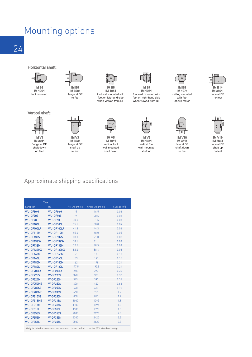## Mounting options

24

Horizontal shaft:



IM 1001 foot mounted

#### Vertical shaft:





IM V3 IM 3031 flange at DE shaft up no feet



foot wall mounted with feet on left-hand side when viewed from DE

IM V5 IM 1011 vertical foot wall mounted shaft down



IM B7 IM 1061 IM foot wall mounted with feet on right-hand side when viewed from DE

IM V6 **IM 1031** vertical foot wall mounted shaft up



ceiling mounted with feet above motor



IM V18 IM 3611 face at DE shaft down no feet





IM V19 IM 3631 face at DE shaft up no feet

#### Approximate shipping specifications

| Type             |                 |                 |                   |                          |
|------------------|-----------------|-----------------|-------------------|--------------------------|
| European         | <b>BS</b>       | Net weight [kg] | Gross weight (kg) | Cubage [m <sup>3</sup> ] |
| WU-DF80M         | <b>WU-DF80M</b> | 15              | 16.5              | 0.02                     |
| WU-DF90S         | WU-DF90S        | 19              | 20.5              | 0.03                     |
| WU-DF90L         | WU-DF90L        | 30.5            | 31.5              | 0.03                     |
| WU-DF100L        | WU-DF100L       | 35.5            | 38.0              | 0.04                     |
| WU-DF100LF       | WU-DF100LF      | 41.8            | 44.3              | 0.04                     |
| WU-DF112M        | WU-DF112M       | 45.0            | 48.0              | 0.05                     |
| WU-DF132S        | WU-DF132S       | 68.0            | 71.0              | 0.08                     |
| WU-DF132SX       | WU-DF132SX      | 78.1            | 81.1              | 0.08                     |
| WU-DF132M        | WU-DF132M       | 72.5            | 78.5              | 0.08                     |
| WU-DF132MX       | WU-DF132MX      | 82.6            | 88.6              | 0.08                     |
| WU-DF160M        | WU-DF160M       | 121             | 133               | 0.15                     |
| WU-DF160L        | WU-DF160L       | 133             | 145               | 0.15                     |
| WU-DF180M        | WU-DF180M       | 162             | 178               | 0.21                     |
| WU-DF180L        | WU-DF180L       | 177.5           | 193.5             | 0.21                     |
| WU-DF200LX       | W-DF200LX       | 255             | 270               | 0.30                     |
| <b>WU-DF225S</b> | <b>W-DF225S</b> | 320             | 335               | 0.37                     |
| WU-DF225M        | <b>W-DF225M</b> | 375             | 390               | 0.37                     |
| WU-DF250ME       | <b>W-DF250S</b> | 420             | 460               | 0.63                     |
| WU-DF280SE       | <b>W-DF250M</b> | 570             | 610               | 0.70                     |
| WU-DF280ME       | <b>W-DF280S</b> | 660             | 721               | 1.2                      |
| WU-DF315SE       | <b>W-DF280M</b> | 800             | 871               | 1.2                      |
| WU-DF315ME       | <b>W-DF315S</b> | 1000            | 1095              | 1.8                      |
| WU-DF315M        | W-DF315M        | 1100            | 1195              | 1.8                      |
| WU-DF315L        | W-DF315L        | 1300            | 1395              | 1.8                      |
| WU-DF355S        | <b>W-DF355S</b> | 2000            | 2120              | 2.3                      |
| WU-DF355M        | <b>W-DF355M</b> | 2300            | 2420              | 2.3                      |
| WU-DF355L        | <b>W-DF355L</b> | 2500            | 2620              | 2.3                      |

Weights listed above are approximate and based on foot mounted (B3) standard design.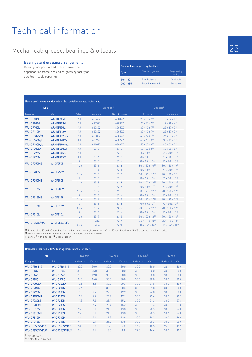### Technical information

#### Mechanical: grease, bearings & oilseals

#### Bearings and greasing arrangements

Bearings are pre-packed with a grease type dependant on frame size and re-greasing facility as detailed in table opposite:

| Standard and re-greasing facilities |                       |                         |  |  |  |  |
|-------------------------------------|-----------------------|-------------------------|--|--|--|--|
| Type                                | Standard grease       | Re-greasing<br>facility |  |  |  |  |
| $80 - 180$                          | EA6 Polyurea          | Available               |  |  |  |  |
| $200 - 355$                         | <b>Esso Unirex N3</b> | Standard                |  |  |  |  |

|                    | Bearing references and oil seals for horizontally-mounted motors only |                |             |                         |                                 |                                 |  |
|--------------------|-----------------------------------------------------------------------|----------------|-------------|-------------------------|---------------------------------|---------------------------------|--|
| <b>Type</b>        |                                                                       |                |             | Bearings <sup>(1)</sup> | Oil seals <sup>[2]</sup>        |                                 |  |
| European           | <b>BS</b>                                                             | Polarity       | Drive end   | Non-drive end           | Drive end                       | Non-drive end                   |  |
| <b>WU-DF80M</b>    | WU-DF80M                                                              | All            | 62042Z      | 60032Z                  | $20 \times 30 \times 7^{[3]}$   | $15 \times 24 \times 5^{[3]}$   |  |
| WU-DF90S/L         | WU-DF90S/L                                                            | All            | 62052Z      | 62032Z                  | $25 \times 35 \times 7^{[3]}$   | $17 \times 28 \times 6^{[3]}$   |  |
| WU-DF100L          | WU-DF100L                                                             | All            | 62062Z      | 62052Z                  | $30 \times 42 \times 7^{[3]}$   | $25 \times 37 \times 7^{[3]}$   |  |
| WU-DF112M          | WU-DF112M                                                             | All            | 62062Z      | 62052Z                  | $30 \times 42 \times 7^{[3]}$   | 25 x 37 x 7(3)                  |  |
| <b>WU-DF132S/M</b> | WU-DF132S/M                                                           | All            | 62082Z      | 63052Z                  | $40 \times 52 \times 7^{[3]}$   | $25 \times 37 \times 7^{[3]}$   |  |
| WU-DF160M/L        | WU-DF160M/L                                                           | All            | 63092Z      | 63072Z                  | $45 \times 60 \times 8^{[3]}$   | $35 \times 47 \times 7^{[3]}$   |  |
| WU-DF180M/L        | WU-DF180M/L                                                           | All            | 63102Z      | 63082Z                  | $50 \times 65 \times 8^{[3]}$   | $40 \times 52 \times 7^{[3]}$   |  |
| WU-DF200LX         | WU-DF200LX                                                            | All            | 6312        | 6312                    | $60 \times 80 \times 8^{[3]}$   | $60 \times 80 \times 8^{[3]}$   |  |
| <b>WU-DF225S</b>   | WU-DF225S                                                             | All            | 6313        | 6313                    | 65 x 90 x 10 <sup>(4)</sup>     | 65 x 90 x 10 <sup>(4)</sup>     |  |
| WU-DF225M          | WU-DF225M                                                             | All            | 6314        | 6314                    | 70 x 90 x 10 <sup>(4)</sup>     | 70 x 90 x 10 <sup>(4)</sup>     |  |
| WU-DF250ME         |                                                                       | $\overline{2}$ | 6314        | 6314                    | $70 \times 90 \times 10^{[4]}$  | $70 \times 90 \times 10^{[4]}$  |  |
|                    | <b>W-DF250S</b>                                                       | 4 up           | 6316        | 6316                    | 80 x 110 x 10 <sup>[3]</sup>    | 80 x 110 x 10 <sup>[3]</sup>    |  |
| WU-DF280SE         |                                                                       | $\overline{2}$ | 6314        | 6314                    | 70 x 90 x 10 <sup>(4)</sup>     | $70 \times 90 \times 10^{[4]}$  |  |
|                    | <b>W-DF250M</b>                                                       | 4 up           | 6318        | 6318                    | 90 x 120 x 12 <sup>[3]</sup>    | 90 x 120 x 12 <sup>[3]</sup>    |  |
| WU-DF280ME         |                                                                       | $\overline{2}$ | 6314        | 6314                    | 70 x 90 x 10 <sup>(4)</sup>     | 70 x 90 x 10 <sup>(4)</sup>     |  |
|                    | <b>W-DF280S</b>                                                       | 4 up           | 6318        | 6318                    | $90 \times 120 \times 12^{[3]}$ | 90 x 120 x 12 <sup>[3]</sup>    |  |
| WU-DF315SE         | <b>W-DF280M</b>                                                       | $\overline{2}$ | 6316        | 6316                    | $70 \times 90 \times 10^{[4]}$  | 70 x 90 x 10 <sup>(4)</sup>     |  |
|                    |                                                                       | 4 up           | 6319        | 6319                    | 90 x 120 x 12 <sup>[3]</sup>    | 90 x 120 x 12 <sup>[3]</sup>    |  |
| WU-DF315ME         | <b>W-DF315S</b>                                                       | $\overline{2}$ | 6316        | 6316                    | $70 \times 90 \times 10^{[4]}$  | 70 x 90 x 10 <sup>(4)</sup>     |  |
|                    |                                                                       | 4 up           | 6319        | 6319                    | 90 x 120 x 12 <sup>[3]</sup>    | 90 x 120 x 12 <sup>[3]</sup>    |  |
| WU-DF315M          | W-DF315M                                                              | $\overline{2}$ | 6316        | 6316                    | $70 \times 90 \times 10^{[4]}$  | $70 \times 90 \times 10^{[4]}$  |  |
|                    |                                                                       | 4 up           | 6319        | 6319                    | 90 x 120 x 12 <sup>[3]</sup>    | $90 \times 120 \times 12^{[3]}$ |  |
| WU-DF315L          | W-DF315L                                                              | $\overline{2}$ | 6316        | 6316                    | 70 x 90 x 10 <sup>(4)</sup>     | 70 x 90 x 10 <sup>(4)</sup>     |  |
|                    |                                                                       | 4 up           | 6319        | 6319                    | 90 x 120 x 12 <sup>[3]</sup>    | 90 x 120 x 12 <sup>[3]</sup>    |  |
| WU-DF355S/M/L      | W-DF355S/M/L                                                          | $\overline{2}$ | <b>N316</b> | 6316                    | $75 \times 100 \times 10^{[4]}$ | 75 x 100 x 10 <sup>(4)</sup>    |  |
|                    |                                                                       | 4 up           | <b>N324</b> | 6324                    | 115 x 145 x 14 <sup>[3]</sup>   | 115 x 145 x 14 <sup>(3)</sup>   |  |

M Frame sizes 80 and 90 have bearings with CN clearances, frame sizes 100 to 355 have bearings with C3 clearance 'medium' series<br>**(2)** Sizes given are in mm, and represent bore x outside diameter x width<br>Material: **<sup>81</sup>**Ni

| Grease life expected at 80°C bearing temperature x 103 hours |                             |                        |          |                        |          |                          |          |            |          |
|--------------------------------------------------------------|-----------------------------|------------------------|----------|------------------------|----------|--------------------------|----------|------------|----------|
| <b>Type</b>                                                  |                             | 3000 min <sup>-1</sup> |          | 1500 min <sup>-1</sup> |          | $1000$ min <sup>-1</sup> |          | 750 min-1  |          |
| European                                                     | <b>BS</b>                   | Horizontal             | Vertical | <b>Horizontal</b>      | Vertical | Horizontal               | Vertical | Horizontal | Vertical |
| <b>WU-DF80-112</b>                                           | <b>WU-DF80-112</b>          | 30.0                   | 30.0     | 30.0                   | 30.0     | 30.0                     | 30.0     | 30.0       | 30.0     |
| <b>WU-DF132</b>                                              | <b>WU-DF132</b>             | 30.0                   | 25.0     | 30.0                   | 30.0     | 30.0                     | 30.0     | 30.0       | 30.0     |
| <b>WU-DF160</b>                                              | <b>WU-DF160</b>             | 29.0                   | 19.0     | 30.0                   | 30.0     | 30.0                     | 30.0     | 30.0       | 30.0     |
| <b>WU-DF180</b>                                              | <b>WU-DF180</b>             | 24.0                   | 16.0     | 30.0                   | 30.0     | 30.0                     | 30.0     | 30.0       | 30.0     |
| WU-DF200LX                                                   | W-DF200LX                   | 12.6                   | 8.2      | 30.0                   | 20.3     | 30.0                     | 27.8     | 30.0       | 30.0     |
| <b>WU-DF225S</b>                                             | <b>W-DF225S</b>             | 12.6                   | 8.2      | 30.0                   | 20.3     | 30.0                     | 27.8     | 30.0       | 30.0     |
| WU-DF225M                                                    | W-DF225M                    | 11.3                   | 7.4      | 29.5                   | 19.2     | 30.0                     | 26.0     | 30.0       | 30.0     |
| WU-DF250ME                                                   | <b>W-DF250S</b>             | 11.3                   | 7.4      | 26.3                   | 17.1     | 30.0                     | 23.6     | 30.0       | 29.3     |
| WU-DF280SE                                                   | <b>W-DF250M</b>             | 11.3                   | 7.4      | 23.4                   | 15.2     | 30.0                     | 21.3     | 30.0       | 27.8     |
| WU-DF280ME                                                   | <b>W-DF280S</b>             | 11.3                   | 7.4      | 23.4                   | 15.2     | 30.0                     | 21.3     | 30.0       | 27.8     |
| WU-DF315SE                                                   | <b>W-DF280M</b>             | 9.4                    | 6.1      | 21.3                   | 13.8     | 30.0                     | 20.3     | 30.0       | 26.0     |
| WU-DF315ME                                                   | <b>W-DF315S</b>             | 9.4                    | 6.1      | 21.3                   | 13.8     | 30.0                     | 20.3     | 30.0       | 26.0     |
| WU-DF315M                                                    | W-DF315M                    | 9.4                    | 6.1      | 21.3                   | 13.8     | 30.0                     | 20.3     | 30.0       | 26.0     |
| WU-DF315L                                                    | W-DF315L                    | 9.4                    | 6.1      | 21.3                   | 13.8     | 30.0                     | 20.3     | 30.0       | 26.0     |
| <b>WU-DF355S/M/L<sup>(1)</sup></b>                           | W-DF355S/M/L <sup>(1)</sup> | 5.0                    | 3.3      | 8.2                    | 5.3      | 16.2                     | 10.5     | 24.5       | 15.9     |
| <b>WU-DF355S/M/L<sup>(2)</sup></b>                           | W-DF355S/M/L <sup>(2)</sup> | 9.4                    | 6.1      | 13.5                   | 8.8      | 22.5                     | 14.6     | 30.0       | 19.5     |

(1) DE = Drive End<br>(2) NDE = Non-Drive End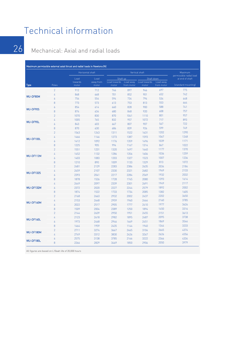## Technical information

#### Mechanical: Axial and radial loads

|                  |                |                  | Horizontal shaft   |                       | Vertical shaft          |                       | Maximum<br>permissible radial load |                     |  |
|------------------|----------------|------------------|--------------------|-----------------------|-------------------------|-----------------------|------------------------------------|---------------------|--|
|                  |                | Load             | Load               |                       | Shaft up                | Shaft down            |                                    | at end of shaft     |  |
| <b>Type</b>      | Poles          | towards<br>motor | away from<br>motor | Load towards<br>motor | Load away<br>from motor | Load towards<br>motor | Load away<br>from motor            | (standard mounting) |  |
|                  | $\overline{2}$ | 912              | 712                | 746                   | 897                     | 946                   | 697                                | 775                 |  |
|                  | 4              | 868              | 668                | 701                   | 852                     | 901                   | 652                                | 742                 |  |
| <b>WU-DF80M</b>  | 6              | 754              | 554                | 594                   | 734                     | 794                   | 534                                | 648                 |  |
|                  | 8              | 773              | 573                | 613                   | 753                     | 813                   | 553                                | 664                 |  |
|                  | 6              | 854              | 614                | 660                   | 828                     | 900                   | 588                                | 741                 |  |
| WU-DF90S         | 8              | 874              | 634                | 680                   | 848                     | 920                   | 608                                | 757                 |  |
|                  | $\overline{2}$ | 1070             | 830                | 870                   | 1041                    | 1110                  | 801                                | 957                 |  |
|                  | 4              | 1005             | 765                | 832                   | 957                     | 1072                  | 717                                | 893                 |  |
| WU-DF90L         | 6              | 843              | 603                | 667                   | 807                     | 907                   | 567                                | 722                 |  |
|                  | 8              | 870              | 630                | 686                   | 839                     | 926                   | 599                                | 749                 |  |
|                  | $\overline{2}$ | 1563             | 1243               | 1311                  | 1522                    | 1631                  | 1202                               | 1290                |  |
|                  | 4              | 1466             | 1146               | 1273                  | 1387                    | 1593                  | 1067                               | 1248                |  |
| WU-DF100L        | 6              | 1412             | 1092               | 1176                  | 1359                    | 1496                  | 1039                               | 1171                |  |
|                  | 8              | 1225             | 905                | 994                   | 1167                    | 1314                  | 847                                | 1022                |  |
|                  | $\overline{2}$ | 1551             | 1231               | 1320                  | 1497                    | 1640                  | 1177                               | 1370                |  |
|                  | 4              | 1452             | 1132               | 1286                  | 1356                    | 1606                  | 1036                               | 1259                |  |
| WU-DF112M        | 6              | 1403             | 1083               | 1203                  | 1327                    | 1523                  | 1007                               | 1236                |  |
|                  | 8              | 1210             | 890                | 1009                  | 1133                    | 1329                  | 813                                | 1072                |  |
|                  | $\overline{2}$ | 2481             | 2129               | 2283                  | 2386                    | 2635                  | 2034                               | 2184                |  |
|                  | 4              | 2459             | 2107               | 2330                  | 2321                    | 2682                  | 1969                               | 2133                |  |
| <b>WU-DF132S</b> | 6              | 2393             | 2041               | 2217                  | 2284                    | 2569                  | 1932                               | 2032                |  |
|                  | 8              | 1878             | 1526               | 1728                  | 1745                    | 2080                  | 1393                               | 1614                |  |
|                  | 4              | 2449             | 2097               | 2339                  | 2301                    | 2691                  | 1949                               | 2117                |  |
| WU-DF132M        | 6              | 2372             | 2020               | 2227                  | 2244                    | 2579                  | 1892                               | 2002                |  |
|                  | 8              | 1874             | 1522               | 1733                  | 1734                    | 2085                  | 1382                               | 1605                |  |
|                  | $\overline{2}$ | 2168             | 2663               | 2932                  | 2002                    | 2437                  | 2202                               | 3650                |  |
|                  | 4              | 2153             | 2648               | 2959                  | 1960                    | 2464                  | 2160                               | 3785                |  |
| WU-DF160M        | 6              | 2022             | 2517               | 2905                  | 1777                    | 2410                  | 1977                               | 3626                |  |
|                  | 8              | 1509             | 2004               | 2389                  | 1250                    | 1894                  | 1450                               | 3316                |  |
|                  | $\overline{2}$ | 2144             | 2639               | 2950                  | 1951                    | 2455                  | 2151                               | 3613                |  |
|                  | 4              | 2123             | 2618               | 2982                  | 1895                    | 2487                  | 2095                               | 3738                |  |
| WU-DF160L        | 6              | 1973             | 2468               | 2946                  | 1669                    | 2451                  | 1869                               | 3544                |  |
|                  | 8              | 1464             | 1959               | 2435                  | 1144                    | 1940                  | 1344                               | 3233                |  |
|                  | $\overline{c}$ | 2711             | 3274               | 3667                  | 2465                    | 3104                  | 2665                               | 4374                |  |
| WU-DF180M        | 4              | 2749             | 3312               | 3830                  | 2426                    | 3267                  | 2626                               | 4556                |  |
|                  | 6              | 2575             | 3138               | 3785                  | 2166                    | 3222                  | 2366                               | 4334                |  |
| WU-DF180L        | 8              | 2266             | 2829               | 3469                  | 1850                    | 2906                  | 2050                               | 3979                |  |

All figures are based on L10aah life of 20,000 hours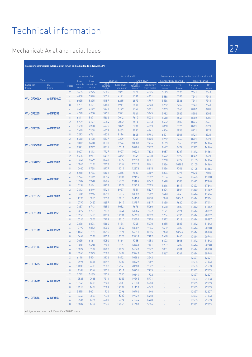## Technical information

#### Mechanical: Axial and radial loads

|                               | Maximum permissible external axial thrust and radial loads in Newtons (N) |                  |                  |                  |                          |                    |                          |                    |                       |               |                                                 |               |
|-------------------------------|---------------------------------------------------------------------------|------------------|------------------|------------------|--------------------------|--------------------|--------------------------|--------------------|-----------------------|---------------|-------------------------------------------------|---------------|
|                               |                                                                           |                  |                  | Horizontal shaft |                          | Vertical shaft     |                          |                    |                       |               | Maximum permissible radial load at end of shaft |               |
|                               | Type                                                                      |                  | Load             | Load             |                          | Shaft up           |                          | Shaft down         | Standard ball bearing |               | Roller bearing                                  |               |
| European                      | <b>BS</b>                                                                 | Poles            | towards<br>motor | away from        | Load<br>towards<br>motor | Load away          | Load<br>towards<br>motor | Load away          | European              | <b>BS</b>     | European                                        | <b>BS</b>     |
| frame                         | frame                                                                     | $\overline{2}$   | 5435             | motor<br>4775    | 5005                     | from motor<br>5361 | 6021                     | from motor<br>4345 | frame<br>5125         | frame<br>5125 | frame<br>7541                                   | frame<br>7541 |
|                               |                                                                           | 4                | 6058             | 5398             | 5531                     | 6121               | 6781                     | 4871               | 5588                  | 5588          | 7541                                            | 7541          |
| WU-DF200LX                    | W-DF200LX                                                                 | 6                | 6055             | 5395             | 5457                     | 6215               | 6875                     | 4797               | 5536                  | 5536          | 7541                                            | 7541          |
|                               |                                                                           | 8                | 5781             | 5121             | 5183                     | 5941               | 6601                     | 4523               | 5252                  | 5252          | 7541                                            | 7541          |
|                               |                                                                           | 4                | 6692             | 6122             | 5941                     | 7177               | 7747                     | 5371               | 5963                  | 5963          | 8202                                            | 8202          |
| <b>WU-DF225S</b>              | <b>W-DF225S</b>                                                           | 6                | 6770             | 6200             | 5935                     | 7371               | 7941                     | 5365               | 5982                  | 5982          | 8202                                            | 8202          |
|                               |                                                                           | 8                | 6441             | 5871             | 5606                     | 7042               | 7612                     | 5036               | 5648                  | 5648          | 8202                                            | 8202          |
|                               |                                                                           | $\overline{2}$   | 6729             | 6197             | 6084                     | 7082               | 7614                     | 6213               | 6602                  | 6602          | 8745                                            | 8745          |
|                               |                                                                           | 4                | 7530             | 6998             | 6745                     | 8099               | 8631                     | 6213               | 6868                  | 6876          | 8921                                            | 8921          |
| WU-DF225M                     | <b>W-DF225M</b>                                                           | 6                | 7640             | 7108             | 6673                     | 8463               | 8995                     | 6141               | 6856                  | 6856          | 8921                                            | 8921          |
|                               | $\boldsymbol{8}$                                                          | 7293             | 6761             | 6326             | 8116                     | 8648               | 5794                     | 6501               | 6501                  | 8921          | 8921                                            |               |
|                               |                                                                           | $\overline{2}$   | 6640             | 6108             | 5837                     | 7209               | 7741                     | 5305               | 6262                  | 6262          | 8921                                            | 8921          |
|                               |                                                                           | $\overline{4}$   | 9012             | 8418             | 8030                     | 9794               | 10388                    | 7436               | 8163                  | 8163          | 11342                                           | 14166         |
| WU-DF250ME                    | <b>W-DF250S</b>                                                           | 6                | 9391             | 8797             | 8311                     | 10311              | 10905                    | 7717               | 8477                  | 8477          | 11342                                           | 14166         |
|                               | 8                                                                         | 9007             | 8413             | 7927             | 9927                     | 10521              | 7333                     | 8087               | 8087                  | 11342         | 14166                                           |               |
|                               |                                                                           | $\overline{2}$   | 6505             | 5911             | 5472                     | 7352               | 7946                     | 4878               | 5692                  | 5897          | 8242                                            | 8921          |
|                               |                                                                           | 4                | 10241            | 9579             | 8943                     | 11377              | 12039                    | 8281               | 9260                  | 9627          | 17105                                           | 14166         |
| WU-DF280SE<br><b>W-DF250M</b> | 6                                                                         | 10846            | 10184            | 9423             | 12157                    | 12819              | 8761                     | 9336               | 10182                 | 17105         | 14166                                           |               |
|                               | 8                                                                         | 10400            | 9738             | 8977             | 11711                    | 12373              | 8315                     | 9336               | 9706                  | 17105         | 14166                                           |               |
|                               |                                                                           | $\overline{2}$   | 6268             | 5736             | 5101                     | 7355               | 7887                     | 4569               | 5824                  | 5795          | 9825                                            | 9503          |
|                               |                                                                           | 4                | 9774             | 9112             | 8014                     | 11534              | 12196                    | 7352               | 9136                  | 8842          | 17423                                           | 17348         |
| WU-DF280ME                    | <b>W-DF280S</b>                                                           | 6                | 10582            | 9920             | 8704                     | 12524              | 13186                    | 8042               | 9698                  | 9386          | 17423                                           | 17348         |
|                               |                                                                           | $\boldsymbol{8}$ | 10136            | 9474             | 8257                     | 12077              | 12739                    | 7595               | 9216                  | 8919          | 17423                                           | 17348         |
|                               |                                                                           | $\overline{2}$   | 7443             | 6849             | 5921                     | 8957               | 9551                     | 5327               | 6804                  | 6804          | 11342                                           | 11342         |
|                               |                                                                           | 4                | 10305            | 9965             | 8299                     | 12719              | 13059                    | 7959               | 9443                  | 9443          | 17414                                           | 17414         |
| WU-DF315SE                    | <b>W-DF280M</b>                                                           | 6                | 11190            | 10850            | 9050                     | 13810              | 14150                    | 8710               | 10042                 | 10042         | 17414                                           | 17414         |
|                               |                                                                           | 8                | 10797            | 10457            | 8657                     | 13417              | 13757                    | 8317               | 9630                  | 9630          | 17414                                           | 17414         |
|                               |                                                                           | $\overline{2}$   | 7337             | 6743             | 5654                     | 9082               | 9676                     | 5060               | 6680                  | 6680          | 11342                                           | 11342         |
|                               | <b>W-DF315S</b>                                                           | 4                | 10077            | 9737             | 7672                     | 13044              | 13384                    | 7332               | 9121                  | 9121          | 17414                                           | 20887         |
| WU-DF315ME                    |                                                                           | 6                | 10958            | 10618            | 8419                     | 14131              | 14471                    | 8079               | 9734                  | 9734          | 17414                                           | 20887         |
|                               |                                                                           | 8                | 10347            | 10007            | 7798                     | 13510              | 13850                    | 7458               | 9312                  | 9312          | 17414                                           | 20887         |
|                               |                                                                           | $\overline{2}$   | 7398             | 6804             | 5664                     | 9154               | 9748                     | 5070               | 6885                  | 6885          | 11342                                           | 11342         |
| WU-DF315M                     | <b>W-DF315M</b>                                                           | 4                | 10192            | 9852             | 8006                     | 12862              | 13202                    | 7666               | 9482                  | 9482          | 17414                                           | 20748         |
|                               |                                                                           | 6                | 11060            | 10720            | 8715                     | 13971              | 14311                    | 8375               | 10066                 | 10066         | 17414                                           | 20748         |
|                               |                                                                           | $\boldsymbol{8}$ | 10667            | 10327            | 8322                     | 13578              | 13918                    | 7982               | 9640                  | 9640          | 17414                                           | 20748         |
|                               |                                                                           | $\overline{2}$   | 7055             | 6461             | 5050                     | 9164               | 9758                     | 4456               | 6603                  | 6606          | 11342                                           | 11342         |
| WU-DF315L                     | W-DF315L                                                                  | 4                | 10008            | 9668             | 7501                     | 13123              | 13463                    | 7161               | 9207                  | 9207          | 17414                                           | 20748         |
|                               |                                                                           | 6                | 10872            | 10532            | 8207                     | 14229              | 14569                    | 7867               | 9801                  | 9801          | 17414                                           | 20748         |
|                               |                                                                           | 8                | 10263            | 9923             | 7587                     | 13609              | 13949                    | 7247               | 9367                  | 9367          | 17414                                           | 20748         |
|                               |                                                                           | $\overline{2}$   | 6118             | 5524             | 3136                     | 9692               | 10286                    | 2542               |                       |               | 12627                                           | 12627         |
| WU-DF355S                     | <b>W-DF355S</b>                                                           | 4                | 12994            | 11454            | 8799                     | 17389              | 18929                    | 7259               |                       |               | 27533                                           | 27533         |
|                               |                                                                           | 6                | 14038            | 12498            | 9387                     | 19143              | 20683                    | 7847               |                       |               | 27533                                           | 27533         |
|                               |                                                                           | $\,$ 8 $\,$      | 14106            | 12566            | 9455                     | 19211              | 20751                    | 7915               |                       |               | 27533                                           | 27533         |
|                               |                                                                           | $\overline{2}$   | 5779             | 5185             | 2326                     | 10050              | 10644                    | 1732               |                       |               | 12627                                           | 12627         |
| WU-DF355M                     | <b>W-DF355M</b>                                                           | 4                | 12528            | 10988            | 7511                     | 18055              | 19595                    | 5971               |                       |               | 27533                                           | 27533         |
|                               |                                                                           | $\boldsymbol{6}$ | 13148            | 11608            | 7523                     | 19533              | 21073                    | 5983               |                       |               | 27533                                           | 27533         |
|                               |                                                                           | $\,$ 8 $\,$      | 13214            | 11674            | 7589                     | 19599              | 21139                    | 6049               |                       |               | 27533                                           | 27533         |
|                               |                                                                           | $\overline{2}$   | 5595             | 5001             | 1734                     | 10396              | 10990                    | 1140               |                       |               | 12627                                           | 12627         |
| WU-DF355L                     | W-DF355L                                                                  | 4                | 12343            | 10803            | 7038                     | 18282              | 19822                    | 5498               |                       |               | 27533                                           | 27533         |
|                               |                                                                           | 6                | 12936            | 11396            | 6980                     | 19794              | 21334                    | 5440               |                       |               | 27533                                           | 27533         |
|                               | 8                                                                         | 13002            | 11462            | 7046             | 19860                    | 21400              | 5506                     |                    |                       | 27533         | 27533                                           |               |

All figures are based on L10aah life of 20,000 hours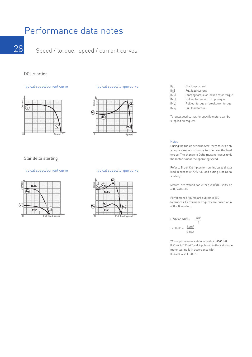### Performance data notes

28 Speed / torque, speed / current curves

#### DOL starting

#### Typical speed/current curve



#### Star delta starting

#### Typical speed/current curve



#### Typical speed/torque curve



#### Typical speed/torque curve



| $\left(\mathsf{I}_{\Delta}\right)$ | Starting current                       |
|------------------------------------|----------------------------------------|
| $(I_{\mathsf{N}})$                 | Full load current                      |
| $(M_{\Delta})$                     | Starting torque or locked rotor torque |
| (M <sub>S</sub> )                  | Pull up torque or run up torque        |
| $(M_K)$                            | Pull out torque or breakdown torque    |
| $[M_{\rm{N}}]$                     | Full load torque                       |

Torque/speed curves for specific motors can be supplied on request.

#### Notes

During the run up period in Star, there must be an adequate excess of motor torque over the load torque. The change to Delta must not occur until the motor is near the operating speed.

Refer to Brook Crompton for running up against a load in excess of 70% full load during Star Delta starting.

Motors are wound for either 230/400 volts or 400 / 690 volts

Performance figures are subject to IEC tolerances. Performance figures are based on a 400 volt winding.

 $J$  (WK<sup>2</sup> or WR<sup>2</sup>) =  $J$  in lb ft<sup>2</sup> = GD2 4 kgm2 0.042

Where performance data indicates IE2 or IE3 0.75kW to 375kW 2,4 & 6 pole within this catalogue, motor testing is in accordance with IEC 60034-2-1: 2007.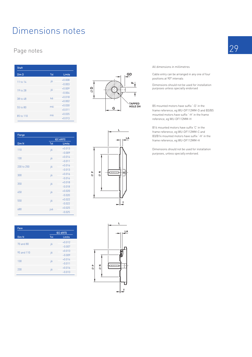# Dimensions notes

#### Page notes

| <b>Shaft</b> |                 |               |
|--------------|-----------------|---------------|
| Dim D        | <b>Tol</b>      | <b>Limits</b> |
| 11 to 14     | $\overline{16}$ | $+0.008$      |
|              |                 | $-0.003$      |
| 19 to 28     | $\overline{16}$ | $+0.009$      |
|              |                 | $-0.004$      |
| 38 to 48     | k6              | $+0.018$      |
|              |                 | $+0.002$      |
| 55 to 80     | m6              | $+0.030$      |
|              |                 | $+0.011$      |
| 85 to 110    | m6              | $+0.035$      |
|              |                 | $+0.013$      |

| Flange     |                 |                  |
|------------|-----------------|------------------|
|            |                 | <b>IEC 60072</b> |
| Dim N      | <b>Tol</b>      | Limits           |
| 110        | $\overline{16}$ | $+0.013$         |
|            |                 | $-0.009$         |
| 130        | j6              | $+0.014$         |
|            |                 | $-0.011$         |
| 230 to 250 | $\overline{16}$ | $+0.016$         |
|            |                 | $-0.013$         |
| 300        | $\overline{16}$ | $+0.016$         |
|            |                 | $-0.016$         |
| 350        | i6              | $+0.018$         |
|            |                 | $-0.018$         |
| 450        | i6              | $+0.020$         |
|            |                 | $-0.020$         |
| 550        | i6              | $+0.022$         |
|            |                 | $-0.022$         |
| 680        | js6             | $+0.025$         |
|            |                 | $-0.025$         |

| Face       |                 |                  |
|------------|-----------------|------------------|
|            |                 | <b>IEC 60072</b> |
| Dim N      | Tol             | Limits           |
| 70 and 80  | i6              | $+0.012$         |
|            |                 | $-0.007$         |
| 95 and 110 | i6              | $+0.013$         |
|            |                 | $-0.009$         |
| 130        | $\overline{16}$ | $+0.014$         |
|            |                 | $-0.011$         |
| 230        | i6              | $+0.016$         |
|            |                 | $-0.013$         |







All dimensions in millimetres

Cable entry can be arranged in any one of four positions at 90° intervals

Dimensions should not be used for installation purposes unless specially endorsed

B5 mounted motors have suffix '-D' in the frame reference, eg WU-DF112MM-D and B3/B5 mounted motors have suffix '-H' in the frame reference, eg WU-DF112MM-H

B14 mounted motors have suffix 'C' in the frame reference, eg WU-DF112MM-C and B3/B14 mounted motors have suffix '-H' in the frame reference, eg WU-DF112MM-H

Dimensions should not be used for installation purposes, unless specially endorsed.